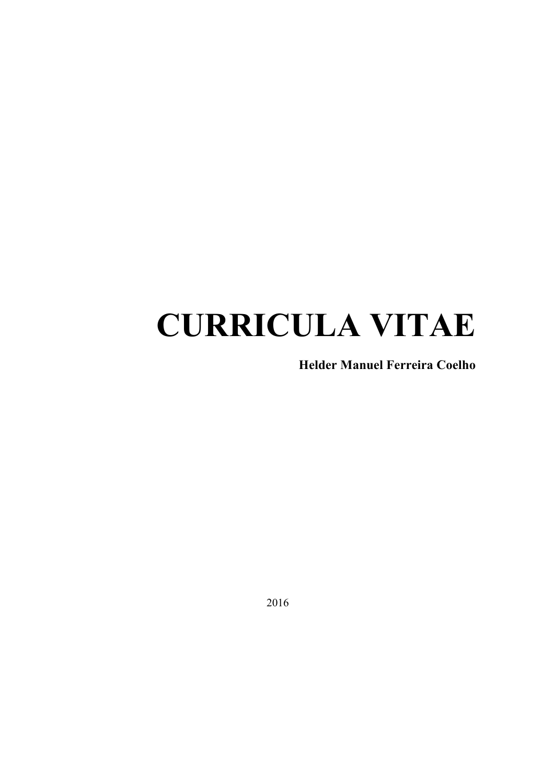# **CURRICULA VITAE**

**Helder Manuel Ferreira Coelho**

2016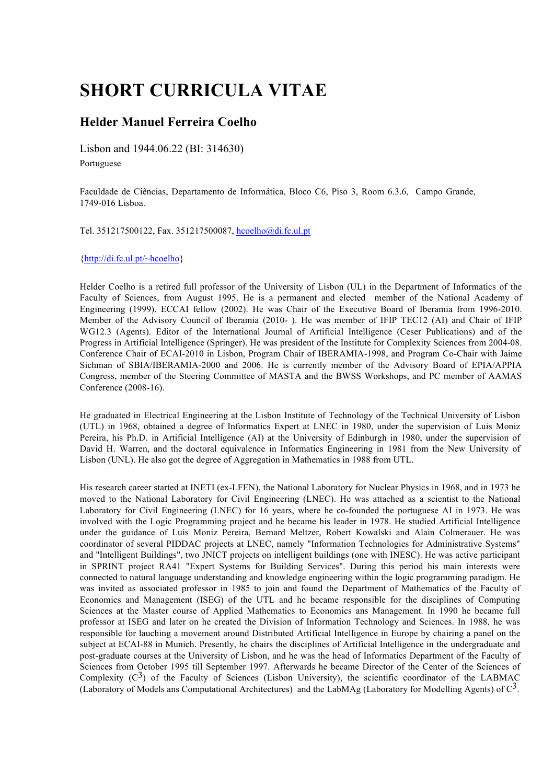# **SHORT CURRICULA VITAE**

# **Helder Manuel Ferreira Coelho**

Lisbon and 1944.06.22 (BI: 314630) Portuguese

Faculdade de Ciências, Departamento de Informática, Bloco C6, Piso 3, Room 6.3.6, Campo Grande, 1749-016 Lisboa.

Tel. 351217500122, Fax. 351217500087, hcoelho@di.fc.ul.pt

{http://di.fc.ul.pt/~hcoelho}

Helder Coelho is a retired full professor of the University of Lisbon (UL) in the Department of Informatics of the Faculty of Sciences, from August 1995. He is a permanent and elected member of the National Academy of Engineering (1999). ECCAI fellow (2002). He was Chair of the Executive Board of Iberamia from 1996-2010. Member of the Advisory Council of Iberamia (2010- ). He was member of IFIP TEC12 (AI) and Chair of IFIP WG12.3 (Agents). Editor of the International Journal of Artificial Intelligence (Ceser Publications) and of the Progress in Artificial Intelligence (Springer). He was president of the Institute for Complexity Sciences from 2004-08. Conference Chair of ECAI-2010 in Lisbon, Program Chair of IBERAMIA-1998, and Program Co-Chair with Jaime Sichman of SBIA/IBERAMIA-2000 and 2006. He is currently member of the Advisory Board of EPIA/APPIA Congress, member of the Steering Committee of MASTA and the BWSS Workshops, and PC member of AAMAS Conference (2008-16).

He graduated in Electrical Engineering at the Lisbon Institute of Technology of the Technical University of Lisbon (UTL) in 1968, obtained a degree of Informatics Expert at LNEC in 1980, under the supervision of Luis Moniz Pereira, his Ph.D. in Artificial Intelligence (AI) at the University of Edinburgh in 1980, under the supervision of David H. Warren, and the doctoral equivalence in Informatics Engineering in 1981 from the New University of Lisbon (UNL). He also got the degree of Aggregation in Mathematics in 1988 from UTL.

His research career started at INETI (ex-LFEN), the National Laboratory for Nuclear Physics in 1968, and in 1973 he moved to the National Laboratory for Civil Engineering (LNEC). He was attached as a scientist to the National Laboratory for Civil Engineering (LNEC) for 16 years, where he co-founded the portuguese AI in 1973. He was involved with the Logic Programming project and he became his leader in 1978. He studied Artificial Intelligence under the guidance of Luis Moniz Pereira, Bernard Meltzer, Robert Kowalski and Alain Colmerauer. He was coordinator of several PIDDAC projects at LNEC, namely "Information Technologies for Administrative Systems" and "Intelligent Buildings", two JNICT projects on intelligent buildings (one with INESC). He was active participant in SPRINT project RA41 "Expert Systems for Building Services". During this period his main interests were connected to natural language understanding and knowledge engineering within the logic programming paradigm. He was invited as associated professor in 1985 to join and found the Department of Mathematics of the Faculty of Economics and Management (ISEG) of the UTL and he became responsible for the disciplines of Computing Sciences at the Master course of Applied Mathematics to Economics ans Management. In 1990 he became full professor at ISEG and later on he created the Division of Information Technology and Sciences. In 1988, he was responsible for lauching a movement around Distributed Artificial Intelligence in Europe by chairing a panel on the subject at ECAI-88 in Munich. Presently, he chairs the disciplines of Artificial Intelligence in the undergraduate and post-graduate courses at the University of Lisbon, and he was the head of Informatics Department of the Faculty of Sciences from October 1995 till September 1997. Afterwards he became Director of the Center of the Sciences of Complexity  $(C^3)$  of the Faculty of Sciences (Lisbon University), the scientific coordinator of the LABMAC (Laboratory of Models ans Computational Architectures) and the LabMAg (Laboratory for Modelling Agents) of  $C^3$ .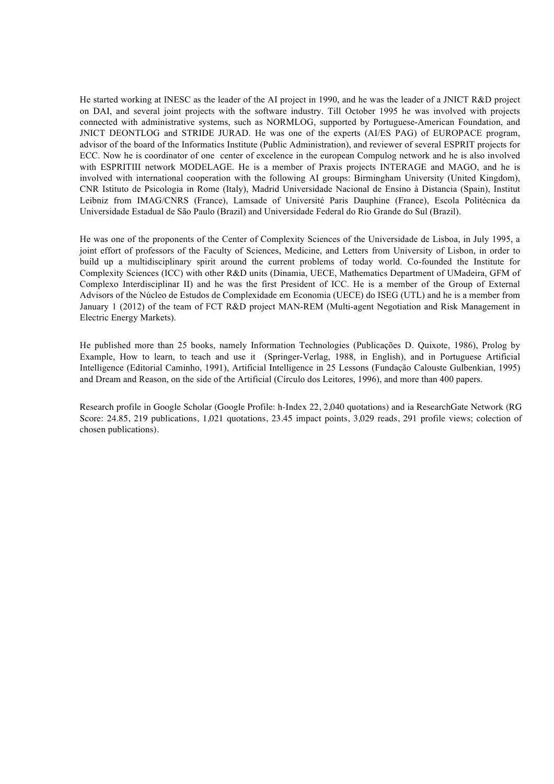He started working at INESC as the leader of the AI project in 1990, and he was the leader of a JNICT R&D project on DAI, and several joint projects with the software industry. Till October 1995 he was involved with projects connected with administrative systems, such as NORMLOG, supported by Portuguese-American Foundation, and JNICT DEONTLOG and STRIDE JURAD. He was one of the experts (AI/ES PAG) of EUROPACE program, advisor of the board of the Informatics Institute (Public Administration), and reviewer of several ESPRIT projects for ECC. Now he is coordinator of one center of excelence in the european Compulog network and he is also involved with ESPRITIII network MODELAGE. He is a member of Praxis projects INTERAGE and MAGO, and he is involved with international cooperation with the following AI groups: Birmingham University (United Kingdom), CNR Istituto de Psicologia in Rome (Italy), Madrid Universidade Nacional de Ensino à Distancia (Spain), Institut Leibniz from IMAG/CNRS (France), Lamsade of Université Paris Dauphine (France), Escola Politécnica da Universidade Estadual de São Paulo (Brazil) and Universidade Federal do Rio Grande do Sul (Brazil).

He was one of the proponents of the Center of Complexity Sciences of the Universidade de Lisboa, in July 1995, a joint effort of professors of the Faculty of Sciences, Medicine, and Letters from University of Lisbon, in order to build up a multidisciplinary spirit around the current problems of today world. Co-founded the Institute for Complexity Sciences (ICC) with other R&D units (Dinamia, UECE, Mathematics Department of UMadeira, GFM of Complexo Interdisciplinar II) and he was the first President of ICC. He is a member of the Group of External Advisors of the Núcleo de Estudos de Complexidade em Economia (UECE) do ISEG (UTL) and he is a member from January 1 (2012) of the team of FCT R&D project MAN-REM (Multi-agent Negotiation and Risk Management in Electric Energy Markets).

He published more than 25 books, namely Information Technologies (Publicações D. Quixote, 1986), Prolog by Example, How to learn, to teach and use it (Springer-Verlag, 1988, in English), and in Portuguese Artificial Intelligence (Editorial Caminho, 1991), Artificial Intelligence in 25 Lessons (Fundação Calouste Gulbenkian, 1995) and Dream and Reason, on the side of the Artificial (Círculo dos Leitores, 1996), and more than 400 papers.

Research profile in Google Scholar (Google Profile: h-Index 22, 2,040 quotations) and ia ResearchGate Network (RG Score: 24.85, 219 publications, 1,021 quotations, 23.45 impact points, 3,029 reads, 291 profile views; colection of chosen publications).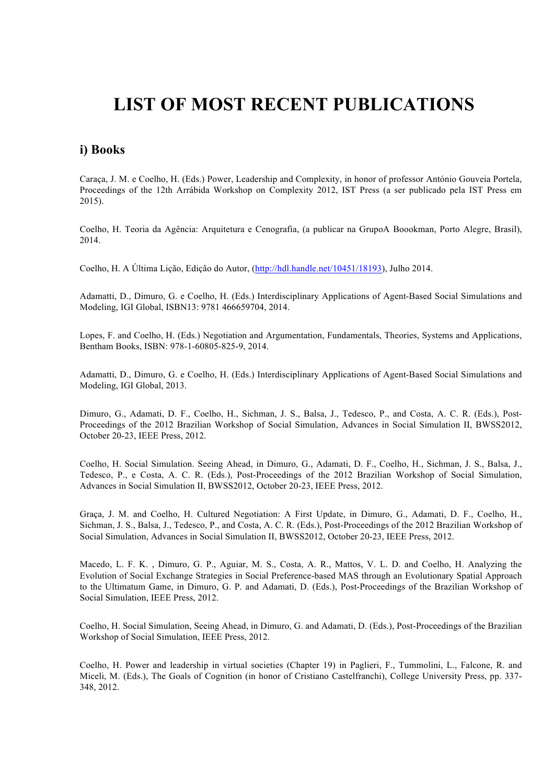# **LIST OF MOST RECENT PUBLICATIONS**

# **i) Books**

Caraça, J. M. e Coelho, H. (Eds.) Power, Leadership and Complexity, in honor of professor António Gouveia Portela, Proceedings of the 12th Arrábida Workshop on Complexity 2012, IST Press (a ser publicado pela IST Press em 2015).

Coelho, H. Teoria da Agência: Arquitetura e Cenografia, (a publicar na GrupoA Boookman, Porto Alegre, Brasil), 2014.

Coelho, H. A Última Lição, Edição do Autor, (http://hdl.handle.net/10451/18193), Julho 2014.

Adamatti, D., Dimuro, G. e Coelho, H. (Eds.) Interdisciplinary Applications of Agent-Based Social Simulations and Modeling, IGI Global, ISBN13: 9781 466659704, 2014.

Lopes, F. and Coelho, H. (Eds.) Negotiation and Argumentation, Fundamentals, Theories, Systems and Applications, Bentham Books, ISBN: 978-1-60805-825-9, 2014.

Adamatti, D., Dimuro, G. e Coelho, H. (Eds.) Interdisciplinary Applications of Agent-Based Social Simulations and Modeling, IGI Global, 2013.

Dimuro, G., Adamati, D. F., Coelho, H., Sichman, J. S., Balsa, J., Tedesco, P., and Costa, A. C. R. (Eds.), Post-Proceedings of the 2012 Brazilian Workshop of Social Simulation, Advances in Social Simulation II, BWSS2012, October 20-23, IEEE Press, 2012.

Coelho, H. Social Simulation. Seeing Ahead, in Dimuro, G., Adamati, D. F., Coelho, H., Sichman, J. S., Balsa, J., Tedesco, P., e Costa, A. C. R. (Eds.), Post-Proceedings of the 2012 Brazilian Workshop of Social Simulation, Advances in Social Simulation II, BWSS2012, October 20-23, IEEE Press, 2012.

Graça, J. M. and Coelho, H. Cultured Negotiation: A First Update, in Dimuro, G., Adamati, D. F., Coelho, H., Sichman, J. S., Balsa, J., Tedesco, P., and Costa, A. C. R. (Eds.), Post-Proceedings of the 2012 Brazilian Workshop of Social Simulation, Advances in Social Simulation II, BWSS2012, October 20-23, IEEE Press, 2012.

Macedo, L. F. K. , Dimuro, G. P., Aguiar, M. S., Costa, A. R., Mattos, V. L. D. and Coelho, H. Analyzing the Evolution of Social Exchange Strategies in Social Preference-based MAS through an Evolutionary Spatial Approach to the Ultimatum Game, in Dimuro, G. P. and Adamati, D. (Eds.), Post-Proceedings of the Brazilian Workshop of Social Simulation, IEEE Press, 2012.

Coelho, H. Social Simulation, Seeing Ahead, in Dimuro, G. and Adamati, D. (Eds.), Post-Proceedings of the Brazilian Workshop of Social Simulation, IEEE Press, 2012.

Coelho, H. Power and leadership in virtual societies (Chapter 19) in Paglieri, F., Tummolini, L., Falcone, R. and Miceli, M. (Eds.), The Goals of Cognition (in honor of Cristiano Castelfranchi), College University Press, pp. 337- 348, 2012.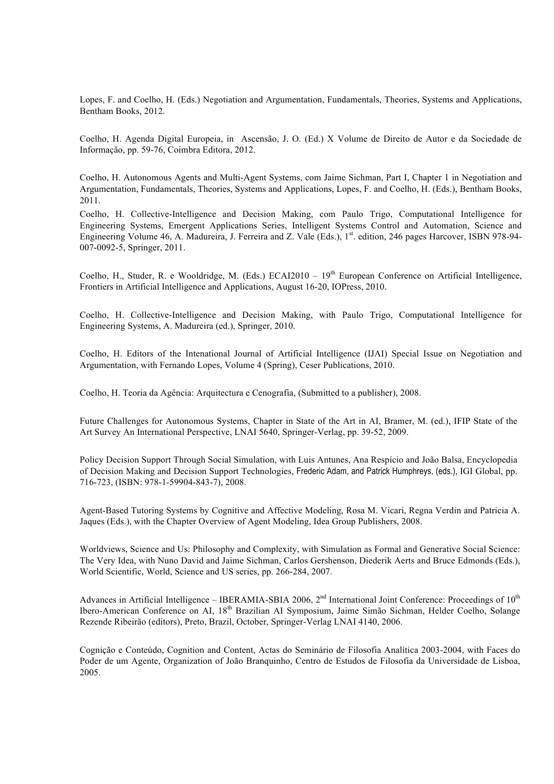Lopes, F. and Coelho, H. (Eds.) Negotiation and Argumentation, Fundamentals, Theories, Systems and Applications, Bentham Books, 2012.

Coelho, H. Agenda Digital Europeia, in Ascensão, J. O. (Ed.) X Volume de Direito de Autor e da Sociedade de Informação, pp. 59-76, Coimbra Editora, 2012.

Coelho, H. Autonomous Agents and Multi-Agent Systems, com Jaime Sichman, Part I, Chapter 1 in Negotiation and Argumentation, Fundamentals, Theories, Systems and Applications, Lopes, F. and Coelho, H. (Eds.), Bentham Books, 2011.

Coelho, H. Collective-Intelligence and Decision Making, com Paulo Trigo, Computational Intelligence for Engineering Systems, Emergent Applications Series, Intelligent Systems Control and Automation, Science and Engineering Volume 46, A. Madureira, J. Ferreira and Z. Vale (Eds.), 1<sup>st</sup>. edition, 246 pages Harcover, ISBN 978-94-007-0092-5, Springer, 2011.

Coelho, H., Studer, R. e Wooldridge, M. (Eds.) ECAI2010 – 19<sup>th</sup> European Conference on Artificial Intelligence, Frontiers in Artificial Intelligence and Applications, August 16-20, IOPress, 2010.

Coelho, H. Collective-Intelligence and Decision Making, with Paulo Trigo, Computational Intelligence for Engineering Systems, A. Madureira (ed.), Springer, 2010.

Coelho, H. Editors of the Intenational Journal of Artificial Intelligence (IJAI) Special Issue on Negotiation and Argumentation, with Fernando Lopes, Volume 4 (Spring), Ceser Publications, 2010.

Coelho, H. Teoria da Agência: Arquitectura e Cenografia, (Submitted to a publisher), 2008.

Future Challenges for Autonomous Systems, Chapter in State of the Art in AI, Bramer, M. (ed.), IFIP State of the Art Survey An International Perspective, LNAI 5640, Springer-Verlag, pp. 39-52, 2009.

Policy Decision Support Through Social Simulation, with Luis Antunes, Ana Respício and João Balsa, Encyclopedia of Decision Making and Decision Support Technologies, Frederic Adam, and Patrick Humphreys, (eds.), IGI Global, pp. 716-723, (ISBN: 978-1-59904-843-7), 2008.

Agent-Based Tutoring Systems by Cognitive and Affective Modeling, Rosa M. Vicari, Regna Verdin and Patricia A. Jaques (Eds.), with the Chapter Overview of Agent Modeling, Idea Group Publishers, 2008.

Worldviews, Science and Us: Philosophy and Complexity, with Simulation as Formal and Generative Social Science: The Very Idea, with Nuno David and Jaime Sichman, Carlos Gershenson, Diederik Aerts and Bruce Edmonds (Eds.), World Scientific, World, Science and US series, pp. 266-284, 2007.

Advances in Artificial Intelligence – IBERAMIA-SBIA 2006,  $2<sup>nd</sup>$  International Joint Conference: Proceedings of  $10<sup>th</sup>$ Ibero-American Conference on AI, 18th Brazilian AI Symposium, Jaime Simão Sichman, Helder Coelho, Solange Rezende Ribeirão (editors), Preto, Brazil, October, Springer-Verlag LNAI 4140, 2006.

Cognição e Conteúdo, Cognition and Content, Actas do Seminário de Filosofia Analítica 2003-2004, with Faces do Poder de um Agente, Organization of João Branquinho, Centro de Estudos de Filosofia da Universidade de Lisboa, 2005.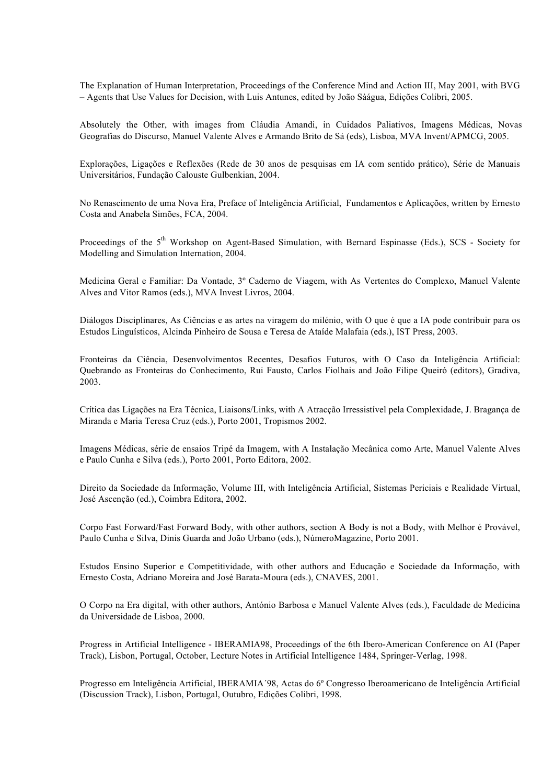The Explanation of Human Interpretation, Proceedings of the Conference Mind and Action III, May 2001, with BVG – Agents that Use Values for Decision, with Luis Antunes, edited by João Sàágua, Edições Colibri, 2005.

Absolutely the Other, with images from Cláudia Amandi, in Cuidados Paliativos, Imagens Médicas, Novas Geografias do Discurso, Manuel Valente Alves e Armando Brito de Sá (eds), Lisboa, MVA Invent/APMCG, 2005.

Explorações, Ligações e Reflexões (Rede de 30 anos de pesquisas em IA com sentido prático), Série de Manuais Universitários, Fundação Calouste Gulbenkian, 2004.

No Renascimento de uma Nova Era, Preface of Inteligência Artificial, Fundamentos e Aplicações, written by Ernesto Costa and Anabela Simões, FCA, 2004.

Proceedings of the 5<sup>th</sup> Workshop on Agent-Based Simulation, with Bernard Espinasse (Eds.), SCS - Society for Modelling and Simulation Internation, 2004.

Medicina Geral e Familiar: Da Vontade, 3º Caderno de Viagem, with As Vertentes do Complexo, Manuel Valente Alves and Vitor Ramos (eds.), MVA Invest Livros, 2004.

Diálogos Disciplinares, As Ciências e as artes na viragem do milénio, with O que é que a IA pode contribuir para os Estudos Linguísticos, Alcinda Pinheiro de Sousa e Teresa de Ataíde Malafaia (eds.), IST Press, 2003.

Fronteiras da Ciência, Desenvolvimentos Recentes, Desafios Futuros, with O Caso da Inteligência Artificial: Quebrando as Fronteiras do Conhecimento, Rui Fausto, Carlos Fiolhais and João Filipe Queiró (editors), Gradiva, 2003.

Crítica das Ligações na Era Técnica, Liaisons/Links, with A Atracção Irressistível pela Complexidade, J. Bragança de Miranda e Maria Teresa Cruz (eds.), Porto 2001, Tropismos 2002.

Imagens Médicas, série de ensaios Tripé da Imagem, with A Instalação Mecânica como Arte, Manuel Valente Alves e Paulo Cunha e Silva (eds.), Porto 2001, Porto Editora, 2002.

Direito da Sociedade da Informação, Volume III, with Inteligência Artificial, Sistemas Periciais e Realidade Virtual, José Ascenção (ed.), Coimbra Editora, 2002.

Corpo Fast Forward/Fast Forward Body, with other authors, section A Body is not a Body, with Melhor é Provável, Paulo Cunha e Silva, Dinis Guarda and João Urbano (eds.), NúmeroMagazine, Porto 2001.

Estudos Ensino Superior e Competitividade, with other authors and Educação e Sociedade da Informação, with Ernesto Costa, Adriano Moreira and José Barata-Moura (eds.), CNAVES, 2001.

O Corpo na Era digital, with other authors, António Barbosa e Manuel Valente Alves (eds.), Faculdade de Medicina da Universidade de Lisboa, 2000.

Progress in Artificial Intelligence - IBERAMIA98, Proceedings of the 6th Ibero-American Conference on AI (Paper Track), Lisbon, Portugal, October, Lecture Notes in Artificial Intelligence 1484, Springer-Verlag, 1998.

Progresso em Inteligência Artificial, IBERAMIA´98, Actas do 6º Congresso Iberoamericano de Inteligência Artificial (Discussion Track), Lisbon, Portugal, Outubro, Edições Colibri, 1998.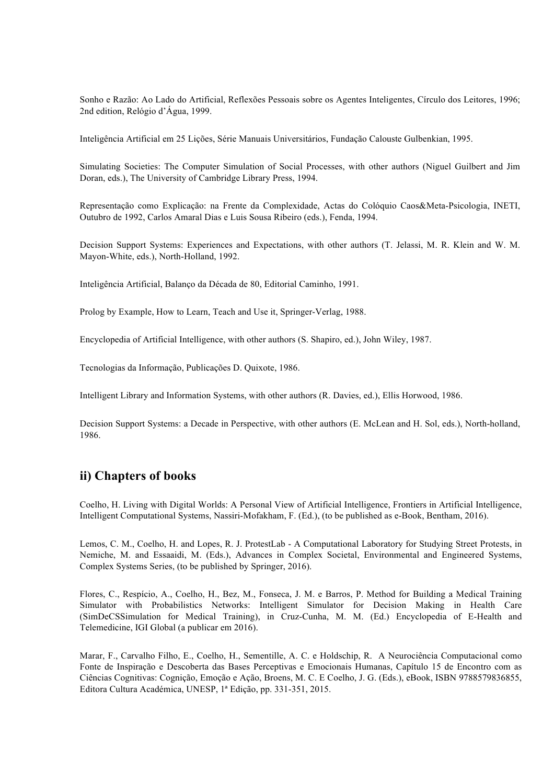Sonho e Razão: Ao Lado do Artificial, Reflexões Pessoais sobre os Agentes Inteligentes, Círculo dos Leitores, 1996; 2nd edition, Relógio d'Água, 1999.

Inteligência Artificial em 25 Lições, Série Manuais Universitários, Fundação Calouste Gulbenkian, 1995.

Simulating Societies: The Computer Simulation of Social Processes, with other authors (Niguel Guilbert and Jim Doran, eds.), The University of Cambridge Library Press, 1994.

Representação como Explicação: na Frente da Complexidade, Actas do Colóquio Caos&Meta-Psicologia, INETI, Outubro de 1992, Carlos Amaral Dias e Luis Sousa Ribeiro (eds.), Fenda, 1994.

Decision Support Systems: Experiences and Expectations, with other authors (T. Jelassi, M. R. Klein and W. M. Mayon-White, eds.), North-Holland, 1992.

Inteligência Artificial, Balanço da Década de 80, Editorial Caminho, 1991.

Prolog by Example, How to Learn, Teach and Use it, Springer-Verlag, 1988.

Encyclopedia of Artificial Intelligence, with other authors (S. Shapiro, ed.), John Wiley, 1987.

Tecnologias da Informação, Publicações D. Quixote, 1986.

Intelligent Library and Information Systems, with other authors (R. Davies, ed.), Ellis Horwood, 1986.

Decision Support Systems: a Decade in Perspective, with other authors (E. McLean and H. Sol, eds.), North-holland, 1986.

# **ii) Chapters of books**

Coelho, H. Living with Digital Worlds: A Personal View of Artificial Intelligence, Frontiers in Artificial Intelligence, Intelligent Computational Systems, Nassiri-Mofakham, F. (Ed.), (to be published as e-Book, Bentham, 2016).

Lemos, C. M., Coelho, H. and Lopes, R. J. ProtestLab - A Computational Laboratory for Studying Street Protests, in Nemiche, M. and Essaaidi, M. (Eds.), Advances in Complex Societal, Environmental and Engineered Systems, Complex Systems Series, (to be published by Springer, 2016).

Flores, C., Respício, A., Coelho, H., Bez, M., Fonseca, J. M. e Barros, P. Method for Building a Medical Training Simulator with Probabilistics Networks: Intelligent Simulator for Decision Making in Health Care (SimDeCSSimulation for Medical Training), in Cruz-Cunha, M. M. (Ed.) Encyclopedia of E-Health and Telemedicine, IGI Global (a publicar em 2016).

Marar, F., Carvalho Filho, E., Coelho, H., Sementille, A. C. e Holdschip, R. A Neurociência Computacional como Fonte de Inspiração e Descoberta das Bases Perceptivas e Emocionais Humanas, Capítulo 15 de Encontro com as Ciências Cognitivas: Cognição, Emoção e Ação, Broens, M. C. E Coelho, J. G. (Eds.), eBook, ISBN 9788579836855, Editora Cultura Académica, UNESP, 1ª Edição, pp. 331-351, 2015.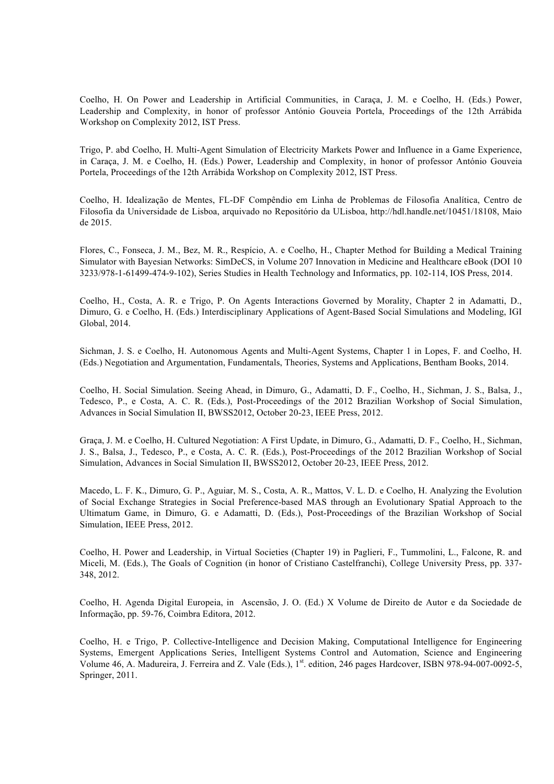Coelho, H. On Power and Leadership in Artificial Communities, in Caraça, J. M. e Coelho, H. (Eds.) Power, Leadership and Complexity, in honor of professor António Gouveia Portela, Proceedings of the 12th Arrábida Workshop on Complexity 2012, IST Press.

Trigo, P. abd Coelho, H. Multi-Agent Simulation of Electricity Markets Power and Influence in a Game Experience, in Caraça, J. M. e Coelho, H. (Eds.) Power, Leadership and Complexity, in honor of professor António Gouveia Portela, Proceedings of the 12th Arrábida Workshop on Complexity 2012, IST Press.

Coelho, H. Idealização de Mentes, FL-DF Compêndio em Linha de Problemas de Filosofia Analítica, Centro de Filosofia da Universidade de Lisboa, arquivado no Repositório da ULisboa, http://hdl.handle.net/10451/18108, Maio de 2015.

Flores, C., Fonseca, J. M., Bez, M. R., Respício, A. e Coelho, H., Chapter Method for Building a Medical Training Simulator with Bayesian Networks: SimDeCS, in Volume 207 Innovation in Medicine and Healthcare eBook (DOI 10 3233/978-1-61499-474-9-102), Series Studies in Health Technology and Informatics, pp. 102-114, IOS Press, 2014.

Coelho, H., Costa, A. R. e Trigo, P. On Agents Interactions Governed by Morality, Chapter 2 in Adamatti, D., Dimuro, G. e Coelho, H. (Eds.) Interdisciplinary Applications of Agent-Based Social Simulations and Modeling, IGI Global, 2014.

Sichman, J. S. e Coelho, H. Autonomous Agents and Multi-Agent Systems, Chapter 1 in Lopes, F. and Coelho, H. (Eds.) Negotiation and Argumentation, Fundamentals, Theories, Systems and Applications, Bentham Books, 2014.

Coelho, H. Social Simulation. Seeing Ahead, in Dimuro, G., Adamatti, D. F., Coelho, H., Sichman, J. S., Balsa, J., Tedesco, P., e Costa, A. C. R. (Eds.), Post-Proceedings of the 2012 Brazilian Workshop of Social Simulation, Advances in Social Simulation II, BWSS2012, October 20-23, IEEE Press, 2012.

Graça, J. M. e Coelho, H. Cultured Negotiation: A First Update, in Dimuro, G., Adamatti, D. F., Coelho, H., Sichman, J. S., Balsa, J., Tedesco, P., e Costa, A. C. R. (Eds.), Post-Proceedings of the 2012 Brazilian Workshop of Social Simulation, Advances in Social Simulation II, BWSS2012, October 20-23, IEEE Press, 2012.

Macedo, L. F. K., Dimuro, G. P., Aguiar, M. S., Costa, A. R., Mattos, V. L. D. e Coelho, H. Analyzing the Evolution of Social Exchange Strategies in Social Preference-based MAS through an Evolutionary Spatial Approach to the Ultimatum Game, in Dimuro, G. e Adamatti, D. (Eds.), Post-Proceedings of the Brazilian Workshop of Social Simulation, IEEE Press, 2012.

Coelho, H. Power and Leadership, in Virtual Societies (Chapter 19) in Paglieri, F., Tummolini, L., Falcone, R. and Miceli, M. (Eds.), The Goals of Cognition (in honor of Cristiano Castelfranchi), College University Press, pp. 337- 348, 2012.

Coelho, H. Agenda Digital Europeia, in Ascensão, J. O. (Ed.) X Volume de Direito de Autor e da Sociedade de Informação, pp. 59-76, Coimbra Editora, 2012.

Coelho, H. e Trigo, P. Collective-Intelligence and Decision Making, Computational Intelligence for Engineering Systems, Emergent Applications Series, Intelligent Systems Control and Automation, Science and Engineering Volume 46, A. Madureira, J. Ferreira and Z. Vale (Eds.), 1<sup>st</sup>. edition, 246 pages Hardcover, ISBN 978-94-007-0092-5, Springer, 2011.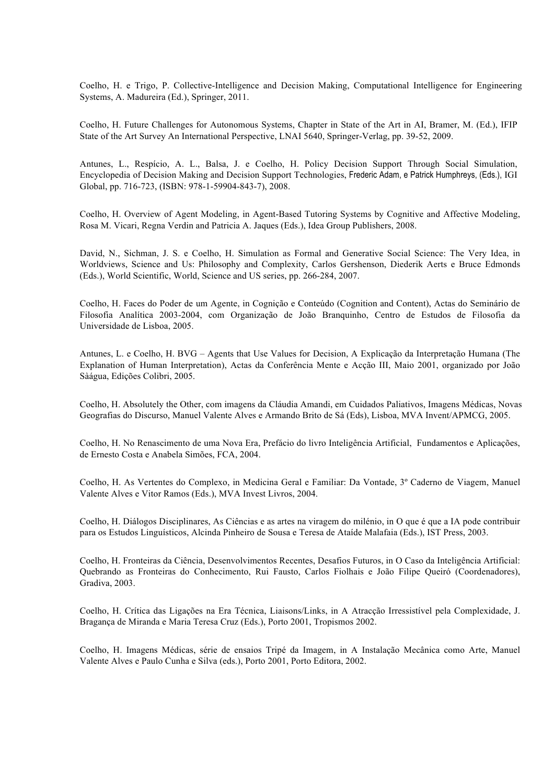Coelho, H. e Trigo, P. Collective-Intelligence and Decision Making, Computational Intelligence for Engineering Systems, A. Madureira (Ed.), Springer, 2011.

Coelho, H. Future Challenges for Autonomous Systems, Chapter in State of the Art in AI, Bramer, M. (Ed.), IFIP State of the Art Survey An International Perspective, LNAI 5640, Springer-Verlag, pp. 39-52, 2009.

Antunes, L., Respício, A. L., Balsa, J. e Coelho, H. Policy Decision Support Through Social Simulation, Encyclopedia of Decision Making and Decision Support Technologies, Frederic Adam, e Patrick Humphreys, (Eds.), IGI Global, pp. 716-723, (ISBN: 978-1-59904-843-7), 2008.

Coelho, H. Overview of Agent Modeling, in Agent-Based Tutoring Systems by Cognitive and Affective Modeling, Rosa M. Vicari, Regna Verdin and Patricia A. Jaques (Eds.), Idea Group Publishers, 2008.

David, N., Sichman, J. S. e Coelho, H. Simulation as Formal and Generative Social Science: The Very Idea, in Worldviews, Science and Us: Philosophy and Complexity, Carlos Gershenson, Diederik Aerts e Bruce Edmonds (Eds.), World Scientific, World, Science and US series, pp. 266-284, 2007.

Coelho, H. Faces do Poder de um Agente, in Cognição e Conteúdo (Cognition and Content), Actas do Seminário de Filosofia Analítica 2003-2004, com Organização de João Branquinho, Centro de Estudos de Filosofia da Universidade de Lisboa, 2005.

Antunes, L. e Coelho, H. BVG – Agents that Use Values for Decision, A Explicação da Interpretação Humana (The Explanation of Human Interpretation), Actas da Conferência Mente e Acção III, Maio 2001, organizado por João Sàágua, Edições Colibri, 2005.

Coelho, H. Absolutely the Other, com imagens da Cláudia Amandi, em Cuidados Paliativos, Imagens Médicas, Novas Geografias do Discurso, Manuel Valente Alves e Armando Brito de Sá (Eds), Lisboa, MVA Invent/APMCG, 2005.

Coelho, H. No Renascimento de uma Nova Era, Prefácio do livro Inteligência Artificial, Fundamentos e Aplicações, de Ernesto Costa e Anabela Simões, FCA, 2004.

Coelho, H. As Vertentes do Complexo, in Medicina Geral e Familiar: Da Vontade, 3º Caderno de Viagem, Manuel Valente Alves e Vitor Ramos (Eds.), MVA Invest Livros, 2004.

Coelho, H. Diálogos Disciplinares, As Ciências e as artes na viragem do milénio, in O que é que a IA pode contribuir para os Estudos Linguísticos, Alcinda Pinheiro de Sousa e Teresa de Ataíde Malafaia (Eds.), IST Press, 2003.

Coelho, H. Fronteiras da Ciência, Desenvolvimentos Recentes, Desafios Futuros, in O Caso da Inteligência Artificial: Quebrando as Fronteiras do Conhecimento, Rui Fausto, Carlos Fiolhais e João Filipe Queiró (Coordenadores), Gradiva, 2003.

Coelho, H. Crítica das Ligações na Era Técnica, Liaisons/Links, in A Atracção Irressistível pela Complexidade, J. Bragança de Miranda e Maria Teresa Cruz (Eds.), Porto 2001, Tropismos 2002.

Coelho, H. Imagens Médicas, série de ensaios Tripé da Imagem, in A Instalação Mecânica como Arte, Manuel Valente Alves e Paulo Cunha e Silva (eds.), Porto 2001, Porto Editora, 2002.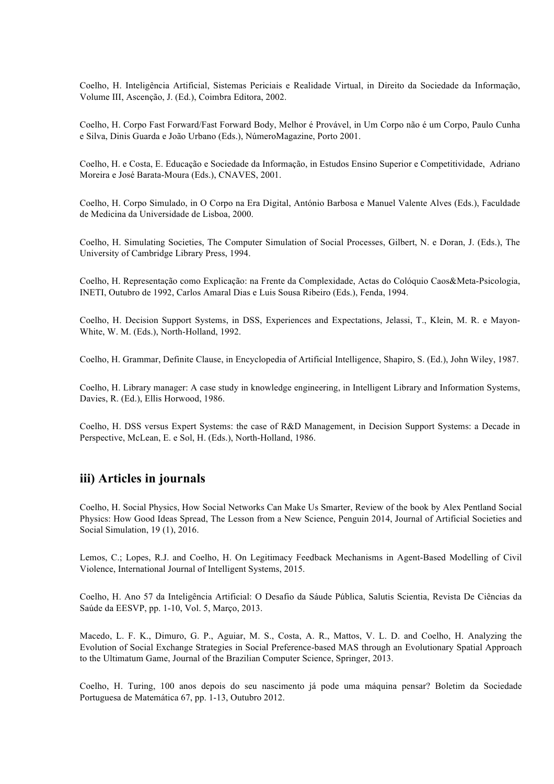Coelho, H. Inteligência Artificial, Sistemas Periciais e Realidade Virtual, in Direito da Sociedade da Informação, Volume III, Ascenção, J. (Ed.), Coimbra Editora, 2002.

Coelho, H. Corpo Fast Forward/Fast Forward Body, Melhor é Provável, in Um Corpo não é um Corpo, Paulo Cunha e Silva, Dinis Guarda e João Urbano (Eds.), NúmeroMagazine, Porto 2001.

Coelho, H. e Costa, E. Educação e Sociedade da Informação, in Estudos Ensino Superior e Competitividade, Adriano Moreira e José Barata-Moura (Eds.), CNAVES, 2001.

Coelho, H. Corpo Simulado, in O Corpo na Era Digital, António Barbosa e Manuel Valente Alves (Eds.), Faculdade de Medicina da Universidade de Lisboa, 2000.

Coelho, H. Simulating Societies, The Computer Simulation of Social Processes, Gilbert, N. e Doran, J. (Eds.), The University of Cambridge Library Press, 1994.

Coelho, H. Representação como Explicação: na Frente da Complexidade, Actas do Colóquio Caos&Meta-Psicologia, INETI, Outubro de 1992, Carlos Amaral Dias e Luis Sousa Ribeiro (Eds.), Fenda, 1994.

Coelho, H. Decision Support Systems, in DSS, Experiences and Expectations, Jelassi, T., Klein, M. R. e Mayon-White, W. M. (Eds.), North-Holland, 1992.

Coelho, H. Grammar, Definite Clause, in Encyclopedia of Artificial Intelligence, Shapiro, S. (Ed.), John Wiley, 1987.

Coelho, H. Library manager: A case study in knowledge engineering, in Intelligent Library and Information Systems, Davies, R. (Ed.), Ellis Horwood, 1986.

Coelho, H. DSS versus Expert Systems: the case of R&D Management, in Decision Support Systems: a Decade in Perspective, McLean, E. e Sol, H. (Eds.), North-Holland, 1986.

# **iii) Articles in journals**

Coelho, H. Social Physics, How Social Networks Can Make Us Smarter, Review of the book by Alex Pentland Social Physics: How Good Ideas Spread, The Lesson from a New Science, Penguin 2014, Journal of Artificial Societies and Social Simulation, 19 (1), 2016.

Lemos, C.; Lopes, R.J. and Coelho, H. On Legitimacy Feedback Mechanisms in Agent-Based Modelling of Civil Violence, International Journal of Intelligent Systems, 2015.

Coelho, H. Ano 57 da Inteligência Artificial: O Desafio da Sáude Pública, Salutis Scientia, Revista De Ciências da Saúde da EESVP, pp. 1-10, Vol. 5, Março, 2013.

Macedo, L. F. K., Dimuro, G. P., Aguiar, M. S., Costa, A. R., Mattos, V. L. D. and Coelho, H. Analyzing the Evolution of Social Exchange Strategies in Social Preference-based MAS through an Evolutionary Spatial Approach to the Ultimatum Game, Journal of the Brazilian Computer Science, Springer, 2013.

Coelho, H. Turing, 100 anos depois do seu nascimento já pode uma máquina pensar? Boletim da Sociedade Portuguesa de Matemática 67, pp. 1-13, Outubro 2012.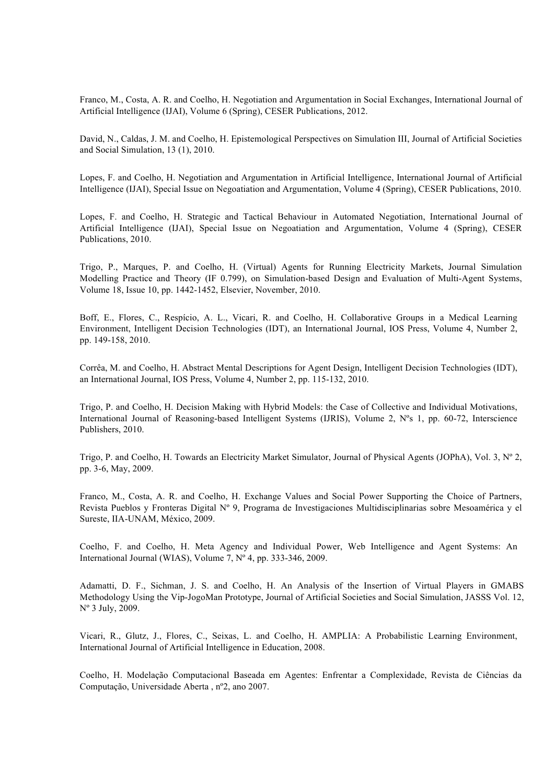Franco, M., Costa, A. R. and Coelho, H. Negotiation and Argumentation in Social Exchanges, International Journal of Artificial Intelligence (IJAI), Volume 6 (Spring), CESER Publications, 2012.

David, N., Caldas, J. M. and Coelho, H. Epistemological Perspectives on Simulation III, Journal of Artificial Societies and Social Simulation, 13 (1), 2010.

Lopes, F. and Coelho, H. Negotiation and Argumentation in Artificial Intelligence, International Journal of Artificial Intelligence (IJAI), Special Issue on Negoatiation and Argumentation, Volume 4 (Spring), CESER Publications, 2010.

Lopes, F. and Coelho, H. Strategic and Tactical Behaviour in Automated Negotiation, International Journal of Artificial Intelligence (IJAI), Special Issue on Negoatiation and Argumentation, Volume 4 (Spring), CESER Publications, 2010.

Trigo, P., Marques, P. and Coelho, H. (Virtual) Agents for Running Electricity Markets, Journal Simulation Modelling Practice and Theory (IF 0.799), on Simulation-based Design and Evaluation of Multi-Agent Systems, Volume 18, Issue 10, pp. 1442-1452, Elsevier, November, 2010.

Boff, E., Flores, C., Respício, A. L., Vicari, R. and Coelho, H. Collaborative Groups in a Medical Learning Environment, Intelligent Decision Technologies (IDT), an International Journal, IOS Press, Volume 4, Number 2, pp. 149-158, 2010.

Corrêa, M. and Coelho, H. Abstract Mental Descriptions for Agent Design, Intelligent Decision Technologies (IDT), an International Journal, IOS Press, Volume 4, Number 2, pp. 115-132, 2010.

Trigo, P. and Coelho, H. Decision Making with Hybrid Models: the Case of Collective and Individual Motivations, International Journal of Reasoning-based Intelligent Systems (IJRIS), Volume 2, Nºs 1, pp. 60-72, Interscience Publishers, 2010.

Trigo, P. and Coelho, H. Towards an Electricity Market Simulator, Journal of Physical Agents (JOPhA), Vol. 3, Nº 2, pp. 3-6, May, 2009.

Franco, M., Costa, A. R. and Coelho, H. Exchange Values and Social Power Supporting the Choice of Partners, Revista Pueblos y Fronteras Digital Nº 9, Programa de Investigaciones Multidisciplinarias sobre Mesoamérica y el Sureste, IIA-UNAM, México, 2009.

Coelho, F. and Coelho, H. Meta Agency and Individual Power, Web Intelligence and Agent Systems: An International Journal (WIAS), Volume 7, Nº 4, pp. 333-346, 2009.

Adamatti, D. F., Sichman, J. S. and Coelho, H. An Analysis of the Insertion of Virtual Players in GMABS Methodology Using the Vip-JogoMan Prototype, Journal of Artificial Societies and Social Simulation, JASSS Vol. 12, Nº 3 July, 2009.

Vicari, R., Glutz, J., Flores, C., Seixas, L. and Coelho, H. AMPLIA: A Probabilistic Learning Environment, International Journal of Artificial Intelligence in Education, 2008.

Coelho, H. Modelação Computacional Baseada em Agentes: Enfrentar a Complexidade, Revista de Ciências da Computação, Universidade Aberta , nº2, ano 2007.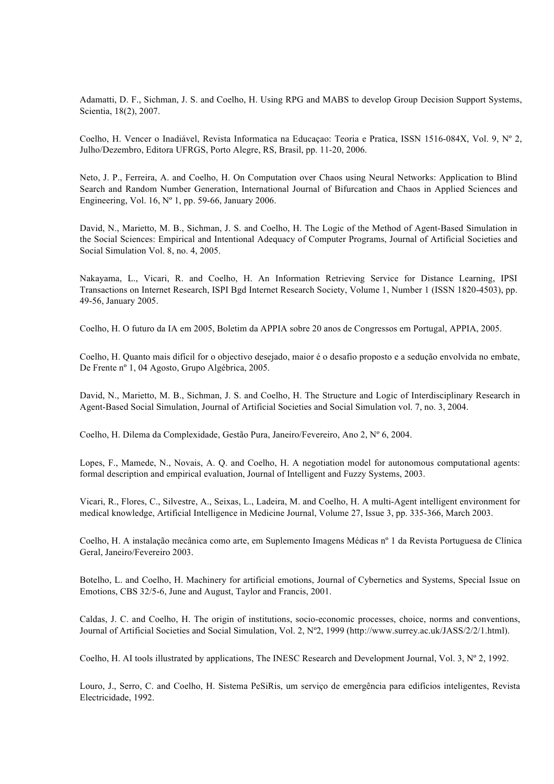Adamatti, D. F., Sichman, J. S. and Coelho, H. Using RPG and MABS to develop Group Decision Support Systems, Scientia, 18(2), 2007.

Coelho, H. Vencer o Inadiável, Revista Informatica na Educaçao: Teoria e Pratica, ISSN 1516-084X, Vol. 9, Nº 2, Julho/Dezembro, Editora UFRGS, Porto Alegre, RS, Brasil, pp. 11-20, 2006.

Neto, J. P., Ferreira, A. and Coelho, H. On Computation over Chaos using Neural Networks: Application to Blind Search and Random Number Generation, International Journal of Bifurcation and Chaos in Applied Sciences and Engineering, Vol. 16,  $N^{\circ}$  1, pp. 59-66, January 2006.

David, N., Marietto, M. B., Sichman, J. S. and Coelho, H. The Logic of the Method of Agent-Based Simulation in the Social Sciences: Empirical and Intentional Adequacy of Computer Programs, Journal of Artificial Societies and Social Simulation Vol. 8, no. 4, 2005.

Nakayama, L., Vicari, R. and Coelho, H. An Information Retrieving Service for Distance Learning, IPSI Transactions on Internet Research, ISPI Bgd Internet Research Society, Volume 1, Number 1 (ISSN 1820-4503), pp. 49-56, January 2005.

Coelho, H. O futuro da IA em 2005, Boletim da APPIA sobre 20 anos de Congressos em Portugal, APPIA, 2005.

Coelho, H. Quanto mais difícil for o objectivo desejado, maior é o desafio proposto e a sedução envolvida no embate, De Frente nº 1, 04 Agosto, Grupo Algébrica, 2005.

David, N., Marietto, M. B., Sichman, J. S. and Coelho, H. The Structure and Logic of Interdisciplinary Research in Agent-Based Social Simulation, Journal of Artificial Societies and Social Simulation vol. 7, no. 3, 2004.

Coelho, H. Dilema da Complexidade, Gestão Pura, Janeiro/Fevereiro, Ano 2, Nº 6, 2004.

Lopes, F., Mamede, N., Novais, A. Q. and Coelho, H. A negotiation model for autonomous computational agents: formal description and empirical evaluation, Journal of Intelligent and Fuzzy Systems, 2003.

Vicari, R., Flores, C., Silvestre, A., Seixas, L., Ladeira, M. and Coelho, H. A multi-Agent intelligent environment for medical knowledge, Artificial Intelligence in Medicine Journal, Volume 27, Issue 3, pp. 335-366, March 2003.

Coelho, H. A instalação mecânica como arte, em Suplemento Imagens Médicas nº 1 da Revista Portuguesa de Clínica Geral, Janeiro/Fevereiro 2003.

Botelho, L. and Coelho, H. Machinery for artificial emotions, Journal of Cybernetics and Systems, Special Issue on Emotions, CBS 32/5-6, June and August, Taylor and Francis, 2001.

Caldas, J. C. and Coelho, H. The origin of institutions, socio-economic processes, choice, norms and conventions, Journal of Artificial Societies and Social Simulation, Vol. 2, Nº2, 1999 (http://www.surrey.ac.uk/JASS/2/2/1.html).

Coelho, H. AI tools illustrated by applications, The INESC Research and Development Journal, Vol. 3, Nº 2, 1992.

Louro, J., Serro, C. and Coelho, H. Sistema PeSiRis, um serviço de emergência para edifícios inteligentes, Revista Electricidade, 1992.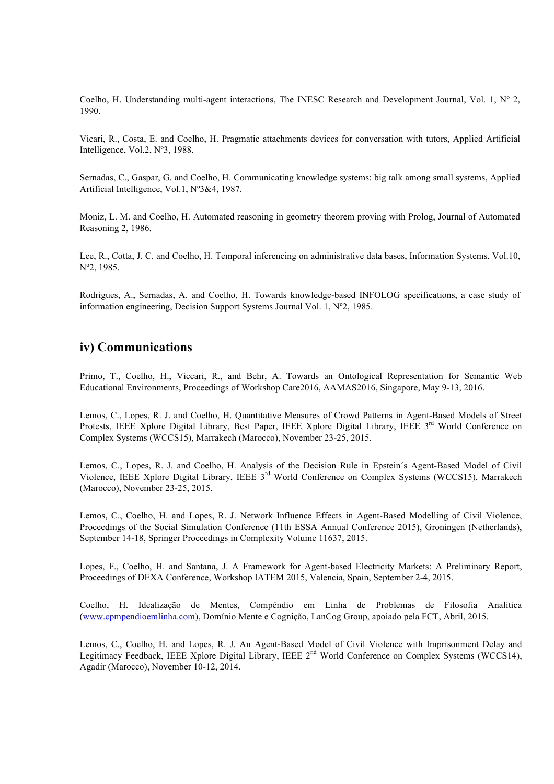Coelho, H. Understanding multi-agent interactions, The INESC Research and Development Journal, Vol. 1,  $N^{\circ}$  2, 1990.

Vicari, R., Costa, E. and Coelho, H. Pragmatic attachments devices for conversation with tutors, Applied Artificial Intelligence, Vol.2, Nº3, 1988.

Sernadas, C., Gaspar, G. and Coelho, H. Communicating knowledge systems: big talk among small systems, Applied Artificial Intelligence, Vol.1, Nº3&4, 1987.

Moniz, L. M. and Coelho, H. Automated reasoning in geometry theorem proving with Prolog, Journal of Automated Reasoning 2, 1986.

Lee, R., Cotta, J. C. and Coelho, H. Temporal inferencing on administrative data bases, Information Systems, Vol.10, Nº2, 1985.

Rodrigues, A., Sernadas, A. and Coelho, H. Towards knowledge-based INFOLOG specifications, a case study of information engineering, Decision Support Systems Journal Vol. 1, Nº2, 1985.

### **iv) Communications**

Primo, T., Coelho, H., Viccari, R., and Behr, A. Towards an Ontological Representation for Semantic Web Educational Environments, Proceedings of Workshop Care2016, AAMAS2016, Singapore, May 9-13, 2016.

Lemos, C., Lopes, R. J. and Coelho, H. Quantitative Measures of Crowd Patterns in Agent-Based Models of Street Protests, IEEE Xplore Digital Library, Best Paper, IEEE Xplore Digital Library, IEEE 3rd World Conference on Complex Systems (WCCS15), Marrakech (Marocco), November 23-25, 2015.

Lemos, C., Lopes, R. J. and Coelho, H. Analysis of the Decision Rule in Epstein´s Agent-Based Model of Civil Violence, IEEE Xplore Digital Library, IEEE 3rd World Conference on Complex Systems (WCCS15), Marrakech (Marocco), November 23-25, 2015.

Lemos, C., Coelho, H. and Lopes, R. J. Network Influence Effects in Agent-Based Modelling of Civil Violence, Proceedings of the Social Simulation Conference (11th ESSA Annual Conference 2015), Groningen (Netherlands), September 14-18, Springer Proceedings in Complexity Volume 11637, 2015.

Lopes, F., Coelho, H. and Santana, J. A Framework for Agent-based Electricity Markets: A Preliminary Report, Proceedings of DEXA Conference, Workshop IATEM 2015, Valencia, Spain, September 2-4, 2015.

Coelho, H. Idealização de Mentes, Compêndio em Linha de Problemas de Filosofia Analítica (www.cpmpendioemlinha.com), Domínio Mente e Cognição, LanCog Group, apoiado pela FCT, Abril, 2015.

Lemos, C., Coelho, H. and Lopes, R. J. An Agent-Based Model of Civil Violence with Imprisonment Delay and Legitimacy Feedback, IEEE Xplore Digital Library, IEEE 2<sup>nd</sup> World Conference on Complex Systems (WCCS14), Agadir (Marocco), November 10-12, 2014.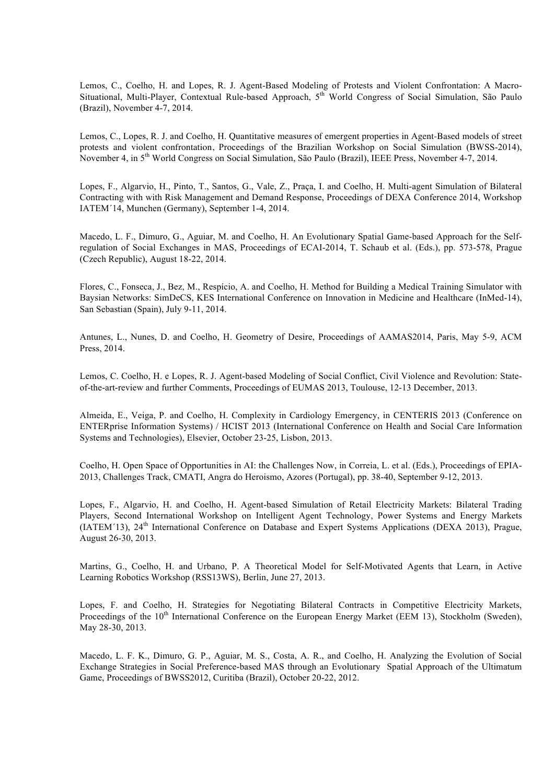Lemos, C., Coelho, H. and Lopes, R. J. Agent-Based Modeling of Protests and Violent Confrontation: A Macro-Situational, Multi-Player, Contextual Rule-based Approach, 5<sup>th</sup> World Congress of Social Simulation, São Paulo (Brazil), November 4-7, 2014.

Lemos, C., Lopes, R. J. and Coelho, H. Quantitative measures of emergent properties in Agent-Based models of street protests and violent confrontation, Proceedings of the Brazilian Workshop on Social Simulation (BWSS-2014), November 4, in 5<sup>th</sup> World Congress on Social Simulation, São Paulo (Brazil), IEEE Press, November 4-7, 2014.

Lopes, F., Algarvio, H., Pinto, T., Santos, G., Vale, Z., Praça, I. and Coelho, H. Multi-agent Simulation of Bilateral Contracting with with Risk Management and Demand Response, Proceedings of DEXA Conference 2014, Workshop IATEM´14, Munchen (Germany), September 1-4, 2014.

Macedo, L. F., Dimuro, G., Aguiar, M. and Coelho, H. An Evolutionary Spatial Game-based Approach for the Selfregulation of Social Exchanges in MAS, Proceedings of ECAI-2014, T. Schaub et al. (Eds.), pp. 573-578, Prague (Czech Republic), August 18-22, 2014.

Flores, C., Fonseca, J., Bez, M., Respício, A. and Coelho, H. Method for Building a Medical Training Simulator with Baysian Networks: SimDeCS, KES International Conference on Innovation in Medicine and Healthcare (InMed-14), San Sebastian (Spain), July 9-11, 2014.

Antunes, L., Nunes, D. and Coelho, H. Geometry of Desire, Proceedings of AAMAS2014, Paris, May 5-9, ACM Press, 2014.

Lemos, C. Coelho, H. e Lopes, R. J. Agent-based Modeling of Social Conflict, Civil Violence and Revolution: Stateof-the-art-review and further Comments, Proceedings of EUMAS 2013, Toulouse, 12-13 December, 2013.

Almeida, E., Veiga, P. and Coelho, H. Complexity in Cardiology Emergency, in CENTERIS 2013 (Conference on ENTERprise Information Systems) / HCIST 2013 (International Conference on Health and Social Care Information Systems and Technologies), Elsevier, October 23-25, Lisbon, 2013.

Coelho, H. Open Space of Opportunities in AI: the Challenges Now, in Correia, L. et al. (Eds.), Proceedings of EPIA-2013, Challenges Track, CMATI, Angra do Heroismo, Azores (Portugal), pp. 38-40, September 9-12, 2013.

Lopes, F., Algarvio, H. and Coelho, H. Agent-based Simulation of Retail Electricity Markets: Bilateral Trading Players, Second International Workshop on Intelligent Agent Technology, Power Systems and Energy Markets (IATEM´13), 24th International Conference on Database and Expert Systems Applications (DEXA 2013), Prague, August 26-30, 2013.

Martins, G., Coelho, H. and Urbano, P. A Theoretical Model for Self-Motivated Agents that Learn, in Active Learning Robotics Workshop (RSS13WS), Berlin, June 27, 2013.

Lopes, F. and Coelho, H. Strategies for Negotiating Bilateral Contracts in Competitive Electricity Markets, Proceedings of the 10<sup>th</sup> International Conference on the European Energy Market (EEM 13), Stockholm (Sweden), May 28-30, 2013.

Macedo, L. F. K., Dimuro, G. P., Aguiar, M. S., Costa, A. R., and Coelho, H. Analyzing the Evolution of Social Exchange Strategies in Social Preference-based MAS through an Evolutionary Spatial Approach of the Ultimatum Game, Proceedings of BWSS2012, Curitiba (Brazil), October 20-22, 2012.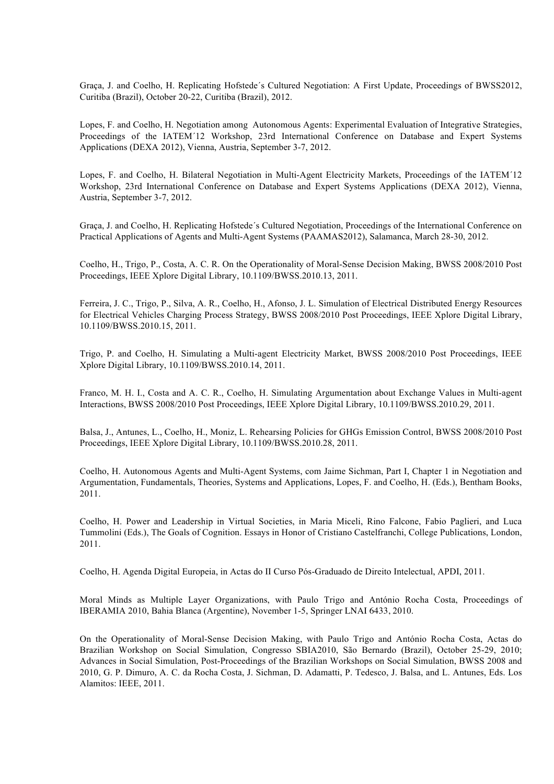Graça, J. and Coelho, H. Replicating Hofstede´s Cultured Negotiation: A First Update, Proceedings of BWSS2012, Curitiba (Brazil), October 20-22, Curitiba (Brazil), 2012.

Lopes, F. and Coelho, H. Negotiation among Autonomous Agents: Experimental Evaluation of Integrative Strategies, Proceedings of the IATEM´12 Workshop, 23rd International Conference on Database and Expert Systems Applications (DEXA 2012), Vienna, Austria, September 3-7, 2012.

Lopes, F. and Coelho, H. Bilateral Negotiation in Multi-Agent Electricity Markets, Proceedings of the IATEM´12 Workshop, 23rd International Conference on Database and Expert Systems Applications (DEXA 2012), Vienna, Austria, September 3-7, 2012.

Graça, J. and Coelho, H. Replicating Hofstede´s Cultured Negotiation, Proceedings of the International Conference on Practical Applications of Agents and Multi-Agent Systems (PAAMAS2012), Salamanca, March 28-30, 2012.

Coelho, H., Trigo, P., Costa, A. C. R. On the Operationality of Moral-Sense Decision Making, BWSS 2008/2010 Post Proceedings, IEEE Xplore Digital Library, 10.1109/BWSS.2010.13, 2011.

Ferreira, J. C., Trigo, P., Silva, A. R., Coelho, H., Afonso, J. L. Simulation of Electrical Distributed Energy Resources for Electrical Vehicles Charging Process Strategy, BWSS 2008/2010 Post Proceedings, IEEE Xplore Digital Library, 10.1109/BWSS.2010.15, 2011.

Trigo, P. and Coelho, H. Simulating a Multi-agent Electricity Market, BWSS 2008/2010 Post Proceedings, IEEE Xplore Digital Library, 10.1109/BWSS.2010.14, 2011.

Franco, M. H. I., Costa and A. C. R., Coelho, H. Simulating Argumentation about Exchange Values in Multi-agent Interactions, BWSS 2008/2010 Post Proceedings, IEEE Xplore Digital Library, 10.1109/BWSS.2010.29, 2011.

Balsa, J., Antunes, L., Coelho, H., Moniz, L. Rehearsing Policies for GHGs Emission Control, BWSS 2008/2010 Post Proceedings, IEEE Xplore Digital Library, 10.1109/BWSS.2010.28, 2011.

Coelho, H. Autonomous Agents and Multi-Agent Systems, com Jaime Sichman, Part I, Chapter 1 in Negotiation and Argumentation, Fundamentals, Theories, Systems and Applications, Lopes, F. and Coelho, H. (Eds.), Bentham Books, 2011.

Coelho, H. Power and Leadership in Virtual Societies, in Maria Miceli, Rino Falcone, Fabio Paglieri, and Luca Tummolini (Eds.), The Goals of Cognition. Essays in Honor of Cristiano Castelfranchi, College Publications, London, 2011.

Coelho, H. Agenda Digital Europeia, in Actas do II Curso Pós-Graduado de Direito Intelectual, APDI, 2011.

Moral Minds as Multiple Layer Organizations, with Paulo Trigo and António Rocha Costa, Proceedings of IBERAMIA 2010, Bahia Blanca (Argentine), November 1-5, Springer LNAI 6433, 2010.

On the Operationality of Moral-Sense Decision Making, with Paulo Trigo and António Rocha Costa, Actas do Brazilian Workshop on Social Simulation, Congresso SBIA2010, São Bernardo (Brazil), October 25-29, 2010; Advances in Social Simulation, Post-Proceedings of the Brazilian Workshops on Social Simulation, BWSS 2008 and 2010, G. P. Dimuro, A. C. da Rocha Costa, J. Sichman, D. Adamatti, P. Tedesco, J. Balsa, and L. Antunes, Eds. Los Alamitos: IEEE, 2011.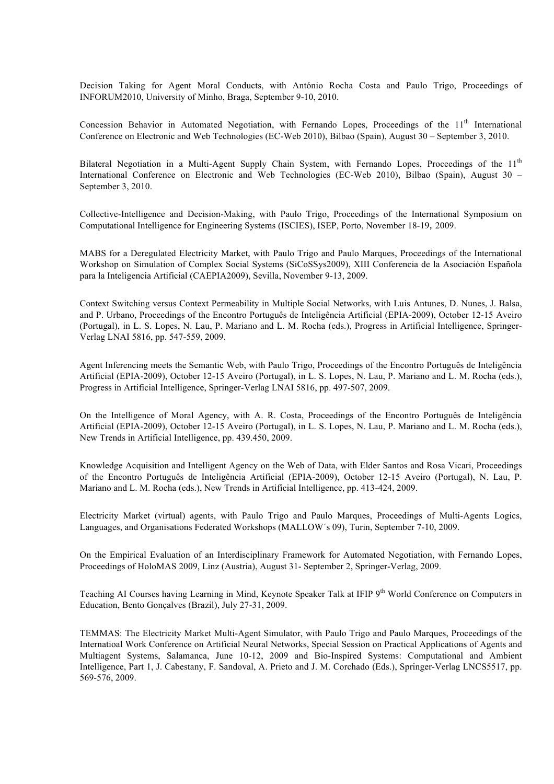Decision Taking for Agent Moral Conducts, with António Rocha Costa and Paulo Trigo, Proceedings of INFORUM2010, University of Minho, Braga, September 9-10, 2010.

Concession Behavior in Automated Negotiation, with Fernando Lopes, Proceedings of the 11<sup>th</sup> International Conference on Electronic and Web Technologies (EC-Web 2010), Bilbao (Spain), August 30 – September 3, 2010.

Bilateral Negotiation in a Multi-Agent Supply Chain System, with Fernando Lopes, Proceedings of the 11<sup>th</sup> International Conference on Electronic and Web Technologies (EC-Web 2010), Bilbao (Spain), August 30 – September 3, 2010.

Collective-Intelligence and Decision-Making, with Paulo Trigo, Proceedings of the International Symposium on Computational Intelligence for Engineering Systems (ISCIES), ISEP, Porto, November 18-19, 2009.

MABS for a Deregulated Electricity Market, with Paulo Trigo and Paulo Marques, Proceedings of the International Workshop on Simulation of Complex Social Systems (SiCoSSys2009), XIII Conferencia de la Asociación Española para la Inteligencia Artificial (CAEPIA2009), Sevilla, November 9-13, 2009.

Context Switching versus Context Permeability in Multiple Social Networks, with Luis Antunes, D. Nunes, J. Balsa, and P. Urbano, Proceedings of the Encontro Português de Inteligência Artificial (EPIA-2009), October 12-15 Aveiro (Portugal), in L. S. Lopes, N. Lau, P. Mariano and L. M. Rocha (eds.), Progress in Artificial Intelligence, Springer-Verlag LNAI 5816, pp. 547-559, 2009.

Agent Inferencing meets the Semantic Web, with Paulo Trigo, Proceedings of the Encontro Português de Inteligência Artificial (EPIA-2009), October 12-15 Aveiro (Portugal), in L. S. Lopes, N. Lau, P. Mariano and L. M. Rocha (eds.), Progress in Artificial Intelligence, Springer-Verlag LNAI 5816, pp. 497-507, 2009.

On the Intelligence of Moral Agency, with A. R. Costa, Proceedings of the Encontro Português de Inteligência Artificial (EPIA-2009), October 12-15 Aveiro (Portugal), in L. S. Lopes, N. Lau, P. Mariano and L. M. Rocha (eds.), New Trends in Artificial Intelligence, pp. 439.450, 2009.

Knowledge Acquisition and Intelligent Agency on the Web of Data, with Elder Santos and Rosa Vicari, Proceedings of the Encontro Português de Inteligência Artificial (EPIA-2009), October 12-15 Aveiro (Portugal), N. Lau, P. Mariano and L. M. Rocha (eds.), New Trends in Artificial Intelligence, pp. 413-424, 2009.

Electricity Market (virtual) agents, with Paulo Trigo and Paulo Marques, Proceedings of Multi-Agents Logics, Languages, and Organisations Federated Workshops (MALLOW´s 09), Turin, September 7-10, 2009.

On the Empirical Evaluation of an Interdisciplinary Framework for Automated Negotiation, with Fernando Lopes, Proceedings of HoloMAS 2009, Linz (Austria), August 31- September 2, Springer-Verlag, 2009.

Teaching AI Courses having Learning in Mind, Keynote Speaker Talk at IFIP 9<sup>th</sup> World Conference on Computers in Education, Bento Gonçalves (Brazil), July 27-31, 2009.

TEMMAS: The Electricity Market Multi-Agent Simulator, with Paulo Trigo and Paulo Marques, Proceedings of the Internatioal Work Conference on Artificial Neural Networks, Special Session on Practical Applications of Agents and Multiagent Systems, Salamanca, June 10-12, 2009 and Bio-Inspired Systems: Computational and Ambient Intelligence, Part 1, J. Cabestany, F. Sandoval, A. Prieto and J. M. Corchado (Eds.), Springer-Verlag LNCS5517, pp. 569-576, 2009.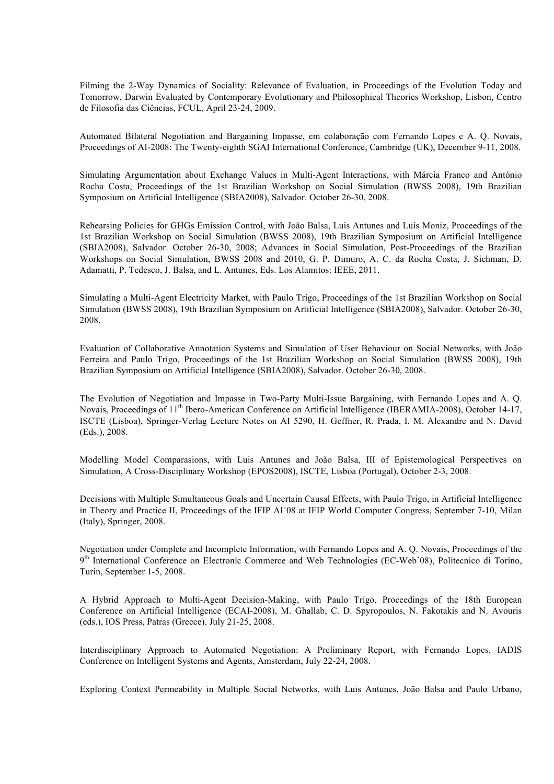Filming the 2-Way Dynamics of Sociality: Relevance of Evaluation, in Proceedings of the Evolution Today and Tomorrow, Darwin Evaluated by Contemporary Evolutionary and Philosophical Theories Workshop, Lisbon, Centro de Filosofia das Ciências, FCUL, April 23-24, 2009.

Automated Bilateral Negotiation and Bargaining Impasse, em colaboração com Fernando Lopes e A. Q. Novais, Proceedings of AI-2008: The Twenty-eighth SGAI International Conference, Cambridge (UK), December 9-11, 2008.

Simulating Argumentation about Exchange Values in Multi-Agent Interactions, with Márcia Franco and António Rocha Costa, Proceedings of the 1st Brazilian Workshop on Social Simulation (BWSS 2008), 19th Brazilian Symposium on Artificial Intelligence (SBIA2008), Salvador. October 26-30, 2008.

Rehearsing Policies for GHGs Emission Control, with João Balsa, Luis Antunes and Luis Moniz, Proceedings of the 1st Brazilian Workshop on Social Simulation (BWSS 2008), 19th Brazilian Symposium on Artificial Intelligence (SBIA2008), Salvador. October 26-30, 2008; Advances in Social Simulation, Post-Proceedings of the Brazilian Workshops on Social Simulation, BWSS 2008 and 2010, G. P. Dimuro, A. C. da Rocha Costa, J. Sichman, D. Adamatti, P. Tedesco, J. Balsa, and L. Antunes, Eds. Los Alamitos: IEEE, 2011.

Simulating a Multi-Agent Electricity Market, with Paulo Trigo, Proceedings of the 1st Brazilian Workshop on Social Simulation (BWSS 2008), 19th Brazilian Symposium on Artificial Intelligence (SBIA2008), Salvador. October 26-30, 2008.

Evaluation of Collaborative Annotation Systems and Simulation of User Behaviour on Social Networks, with João Ferreira and Paulo Trigo, Proceedings of the 1st Brazilian Workshop on Social Simulation (BWSS 2008), 19th Brazilian Symposium on Artificial Intelligence (SBIA2008), Salvador. October 26-30, 2008.

The Evolution of Negotiation and Impasse in Two-Party Multi-Issue Bargaining, with Fernando Lopes and A. Q. Novais, Proceedings of 11<sup>th</sup> Ibero-American Conference on Artificial Intelligence (IBERAMIA-2008), October 14-17, ISCTE (Lisboa), Springer-Verlag Lecture Notes on AI 5290, H. Geffner, R. Prada, I. M. Alexandre and N. David (Eds.), 2008.

Modelling Model Comparasions, with Luis Antunes and João Balsa, III of Epistemological Perspectives on Simulation, A Cross-Disciplinary Workshop (EPOS2008), ISCTE, Lisboa (Portugal), October 2-3, 2008.

Decisions with Multiple Simultaneous Goals and Uncertain Causal Effects, with Paulo Trigo, in Artificial Intelligence in Theory and Practice II, Proceedings of the IFIP AI´08 at IFIP World Computer Congress, September 7-10, Milan (Italy), Springer, 2008.

Negotiation under Complete and Incomplete Information, with Fernando Lopes and A. Q. Novais, Proceedings of the 9<sup>th</sup> International Conference on Electronic Commerce and Web Technologies (EC-Web<sup>'08)</sup>, Politecnico di Torino, Turin, September 1-5, 2008.

A Hybrid Approach to Multi-Agent Decision-Making, with Paulo Trigo, Proceedings of the 18th European Conference on Artificial Intelligence (ECAI-2008), M. Ghallab, C. D. Spyropoulos, N. Fakotakis and N. Avouris (eds.), IOS Press, Patras (Greece), July 21-25, 2008.

Interdisciplinary Approach to Automated Negotiation: A Preliminary Report, with Fernando Lopes, IADIS Conference on Intelligent Systems and Agents, Amsterdam, July 22-24, 2008.

Exploring Context Permeability in Multiple Social Networks, with Luis Antunes, João Balsa and Paulo Urbano,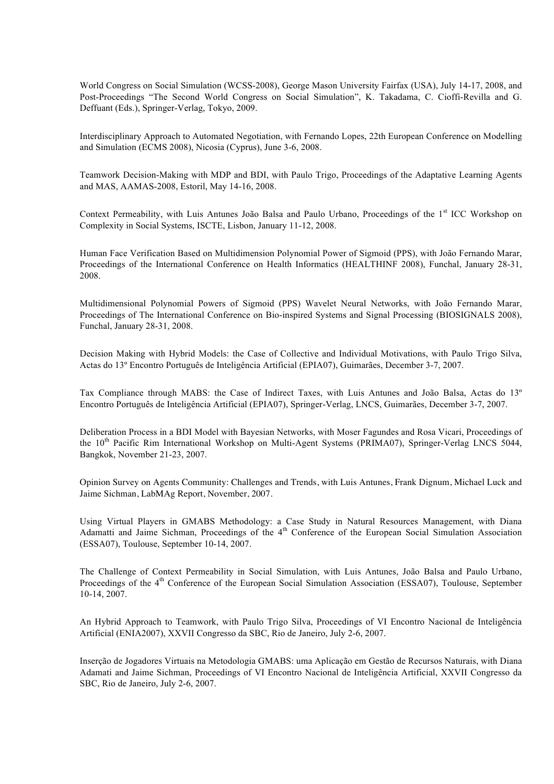World Congress on Social Simulation (WCSS-2008), George Mason University Fairfax (USA), July 14-17, 2008, and Post-Proceedings "The Second World Congress on Social Simulation", K. Takadama, C. Cioffi-Revilla and G. Deffuant (Eds.), Springer-Verlag, Tokyo, 2009.

Interdisciplinary Approach to Automated Negotiation, with Fernando Lopes, 22th European Conference on Modelling and Simulation (ECMS 2008), Nicosia (Cyprus), June 3-6, 2008.

Teamwork Decision-Making with MDP and BDI, with Paulo Trigo, Proceedings of the Adaptative Learning Agents and MAS, AAMAS-2008, Estoril, May 14-16, 2008.

Context Permeability, with Luis Antunes João Balsa and Paulo Urbano, Proceedings of the 1<sup>st</sup> ICC Workshop on Complexity in Social Systems, ISCTE, Lisbon, January 11-12, 2008.

Human Face Verification Based on Multidimension Polynomial Power of Sigmoid (PPS), with João Fernando Marar, Proceedings of the International Conference on Health Informatics (HEALTHINF 2008), Funchal, January 28-31, 2008.

Multidimensional Polynomial Powers of Sigmoid (PPS) Wavelet Neural Networks, with João Fernando Marar, Proceedings of The International Conference on Bio-inspired Systems and Signal Processing (BIOSIGNALS 2008), Funchal, January 28-31, 2008.

Decision Making with Hybrid Models: the Case of Collective and Individual Motivations, with Paulo Trigo Silva, Actas do 13º Encontro Português de Inteligência Artificial (EPIA07), Guimarães, December 3-7, 2007.

Tax Compliance through MABS: the Case of Indirect Taxes, with Luis Antunes and João Balsa, Actas do 13º Encontro Português de Inteligência Artificial (EPIA07), Springer-Verlag, LNCS, Guimarães, December 3-7, 2007.

Deliberation Process in a BDI Model with Bayesian Networks, with Moser Fagundes and Rosa Vicari, Proceedings of the 10<sup>th</sup> Pacific Rim International Workshop on Multi-Agent Systems (PRIMA07), Springer-Verlag LNCS 5044, Bangkok, November 21-23, 2007.

Opinion Survey on Agents Community: Challenges and Trends, with Luis Antunes, Frank Dignum, Michael Luck and Jaime Sichman, LabMAg Report, November, 2007.

Using Virtual Players in GMABS Methodology: a Case Study in Natural Resources Management, with Diana Adamatti and Jaime Sichman, Proceedings of the 4<sup>th</sup> Conference of the European Social Simulation Association (ESSA07), Toulouse, September 10-14, 2007.

The Challenge of Context Permeability in Social Simulation, with Luis Antunes, João Balsa and Paulo Urbano, Proceedings of the 4<sup>th</sup> Conference of the European Social Simulation Association (ESSA07), Toulouse, September 10-14, 2007.

An Hybrid Approach to Teamwork, with Paulo Trigo Silva, Proceedings of VI Encontro Nacional de Inteligência Artificial (ENIA2007), XXVII Congresso da SBC, Rio de Janeiro, July 2-6, 2007.

Inserção de Jogadores Virtuais na Metodologia GMABS: uma Aplicação em Gestão de Recursos Naturais, with Diana Adamati and Jaime Sichman, Proceedings of VI Encontro Nacional de Inteligência Artificial, XXVII Congresso da SBC, Rio de Janeiro, July 2-6, 2007.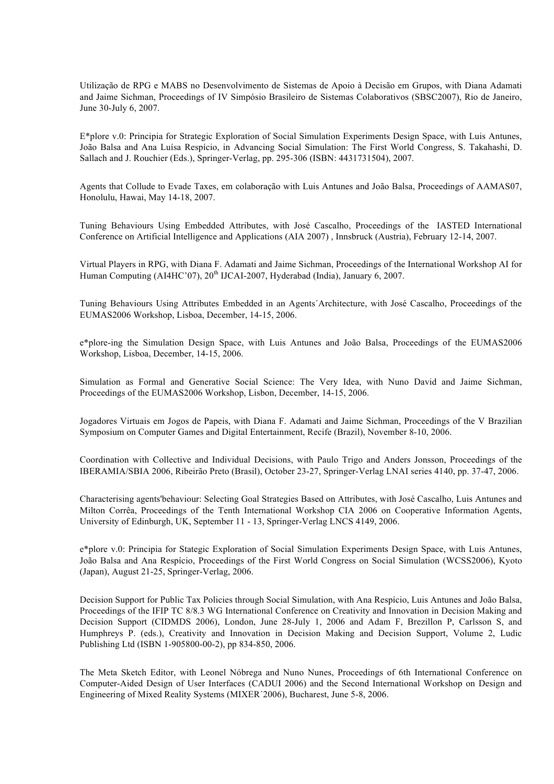Utilização de RPG e MABS no Desenvolvimento de Sistemas de Apoio à Decisão em Grupos, with Diana Adamati and Jaime Sichman, Proceedings of IV Simpósio Brasileiro de Sistemas Colaborativos (SBSC2007), Rio de Janeiro, June 30-July 6, 2007.

E\*plore v.0: Principia for Strategic Exploration of Social Simulation Experiments Design Space, with Luis Antunes, João Balsa and Ana Luísa Respício, in Advancing Social Simulation: The First World Congress, S. Takahashi, D. Sallach and J. Rouchier (Eds.), Springer-Verlag, pp. 295-306 (ISBN: 4431731504), 2007.

Agents that Collude to Evade Taxes, em colaboração with Luis Antunes and João Balsa, Proceedings of AAMAS07, Honolulu, Hawai, May 14-18, 2007.

Tuning Behaviours Using Embedded Attributes, with José Cascalho, Proceedings of the IASTED International Conference on Artificial Intelligence and Applications (AIA 2007) , Innsbruck (Austria), February 12-14, 2007.

Virtual Players in RPG, with Diana F. Adamati and Jaime Sichman, Proceedings of the International Workshop AI for Human Computing (AI4HC'07), 20<sup>th</sup> IJCAI-2007, Hyderabad (India), January 6, 2007.

Tuning Behaviours Using Attributes Embedded in an Agents´Architecture, with José Cascalho, Proceedings of the EUMAS2006 Workshop, Lisboa, December, 14-15, 2006.

e\*plore-ing the Simulation Design Space, with Luis Antunes and João Balsa, Proceedings of the EUMAS2006 Workshop, Lisboa, December, 14-15, 2006.

Simulation as Formal and Generative Social Science: The Very Idea, with Nuno David and Jaime Sichman, Proceedings of the EUMAS2006 Workshop, Lisbon, December, 14-15, 2006.

Jogadores Virtuais em Jogos de Papeis, with Diana F. Adamati and Jaime Sichman, Proceedings of the V Brazilian Symposium on Computer Games and Digital Entertainment, Recife (Brazil), November 8-10, 2006.

Coordination with Collective and Individual Decisions, with Paulo Trigo and Anders Jonsson, Proceedings of the IBERAMIA/SBIA 2006, Ribeirão Preto (Brasil), October 23-27, Springer-Verlag LNAI series 4140, pp. 37-47, 2006.

Characterising agents'behaviour: Selecting Goal Strategies Based on Attributes, with José Cascalho, Luis Antunes and Milton Corrêa, Proceedings of the Tenth International Workshop CIA 2006 on Cooperative Information Agents, University of Edinburgh, UK, September 11 - 13, Springer-Verlag LNCS 4149, 2006.

e\*plore v.0: Principia for Stategic Exploration of Social Simulation Experiments Design Space, with Luis Antunes, João Balsa and Ana Respício, Proceedings of the First World Congress on Social Simulation (WCSS2006), Kyoto (Japan), August 21-25, Springer-Verlag, 2006.

Decision Support for Public Tax Policies through Social Simulation, with Ana Respício, Luis Antunes and João Balsa, Proceedings of the IFIP TC 8/8.3 WG International Conference on Creativity and Innovation in Decision Making and Decision Support (CIDMDS 2006), London, June 28-July 1, 2006 and Adam F, Brezillon P, Carlsson S, and Humphreys P. (eds.), Creativity and Innovation in Decision Making and Decision Support, Volume 2, Ludic Publishing Ltd (ISBN 1-905800-00-2), pp 834-850, 2006.

The Meta Sketch Editor, with Leonel Nóbrega and Nuno Nunes, Proceedings of 6th International Conference on Computer-Aided Design of User Interfaces (CADUI 2006) and the Second International Workshop on Design and Engineering of Mixed Reality Systems (MIXER´2006), Bucharest, June 5-8, 2006.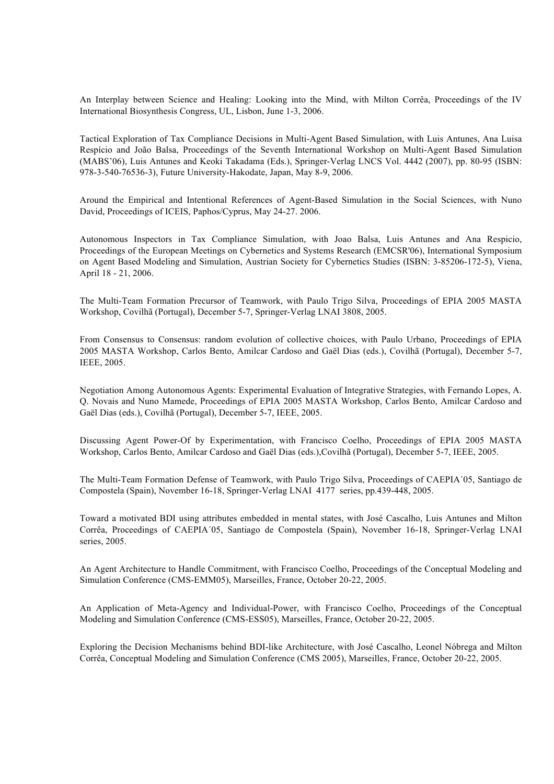An Interplay between Science and Healing: Looking into the Mind, with Milton Corrêa, Proceedings of the IV International Biosynthesis Congress, UL, Lisbon, June 1-3, 2006.

Tactical Exploration of Tax Compliance Decisions in Multi-Agent Based Simulation, with Luis Antunes, Ana Luisa Respício and João Balsa, Proceedings of the Seventh International Workshop on Multi-Agent Based Simulation (MABS'06), Luis Antunes and Keoki Takadama (Eds.), Springer-Verlag LNCS Vol. 4442 (2007), pp. 80-95 (ISBN: 978-3-540-76536-3), Future University-Hakodate, Japan, May 8-9, 2006.

Around the Empirical and Intentional References of Agent-Based Simulation in the Social Sciences, with Nuno David, Proceedings of ICEIS, Paphos/Cyprus, May 24-27. 2006.

Autonomous Inspectors in Tax Compliance Simulation, with Joao Balsa, Luis Antunes and Ana Respicio, Proceedings of the European Meetings on Cybernetics and Systems Research (EMCSR'06), International Symposium on Agent Based Modeling and Simulation, Austrian Society for Cybernetics Studies (ISBN: 3-85206-172-5), Viena, April 18 - 21, 2006.

The Multi-Team Formation Precursor of Teamwork, with Paulo Trigo Silva, Proceedings of EPIA 2005 MASTA Workshop, Covilhã (Portugal), December 5-7, Springer-Verlag LNAI 3808, 2005.

From Consensus to Consensus: random evolution of collective choices, with Paulo Urbano, Proceedings of EPIA 2005 MASTA Workshop, Carlos Bento, Amilcar Cardoso and Gaël Dias (eds.), Covilhã (Portugal), December 5-7, IEEE, 2005.

Negotiation Among Autonomous Agents: Experimental Evaluation of Integrative Strategies, with Fernando Lopes, A. Q. Novais and Nuno Mamede, Proceedings of EPIA 2005 MASTA Workshop, Carlos Bento, Amilcar Cardoso and Gaël Dias (eds.), Covilhã (Portugal), December 5-7, IEEE, 2005.

Discussing Agent Power-Of by Experimentation, with Francisco Coelho, Proceedings of EPIA 2005 MASTA Workshop, Carlos Bento, Amilcar Cardoso and Gaël Dias (eds.),Covilhã (Portugal), December 5-7, IEEE, 2005.

The Multi-Team Formation Defense of Teamwork, with Paulo Trigo Silva, Proceedings of CAEPIA´05, Santiago de Compostela (Spain), November 16-18, Springer-Verlag LNAI 4177 series, pp.439-448, 2005.

Toward a motivated BDI using attributes embedded in mental states, with José Cascalho, Luis Antunes and Milton Corrêa, Proceedings of CAEPIA´05, Santiago de Compostela (Spain), November 16-18, Springer-Verlag LNAI series, 2005.

An Agent Architecture to Handle Commitment, with Francisco Coelho, Proceedings of the Conceptual Modeling and Simulation Conference (CMS-EMM05), Marseilles, France, October 20-22, 2005.

An Application of Meta-Agency and Individual-Power, with Francisco Coelho, Proceedings of the Conceptual Modeling and Simulation Conference (CMS-ESS05), Marseilles, France, October 20-22, 2005.

Exploring the Decision Mechanisms behind BDI-like Architecture, with José Cascalho, Leonel Nóbrega and Milton Corrêa, Conceptual Modeling and Simulation Conference (CMS 2005), Marseilles, France, October 20-22, 2005.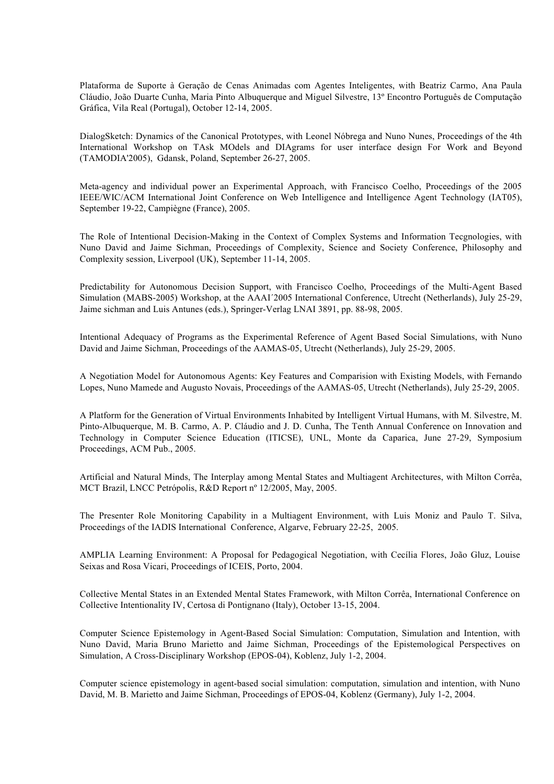Plataforma de Suporte à Geração de Cenas Animadas com Agentes Inteligentes, with Beatriz Carmo, Ana Paula Cláudio, João Duarte Cunha, Maria Pinto Albuquerque and Miguel Silvestre, 13º Encontro Português de Computação Gráfica, Vila Real (Portugal), October 12-14, 2005.

DialogSketch: Dynamics of the Canonical Prototypes, with Leonel Nóbrega and Nuno Nunes, Proceedings of the 4th International Workshop on TAsk MOdels and DIAgrams for user interface design For Work and Beyond (TAMODIA'2005), Gdansk, Poland, September 26-27, 2005.

Meta-agency and individual power an Experimental Approach, with Francisco Coelho, Proceedings of the 2005 IEEE/WIC/ACM International Joint Conference on Web Intelligence and Intelligence Agent Technology (IAT05), September 19-22, Campiègne (France), 2005.

The Role of Intentional Decision-Making in the Context of Complex Systems and Information Tecgnologies, with Nuno David and Jaime Sichman, Proceedings of Complexity, Science and Society Conference, Philosophy and Complexity session, Liverpool (UK), September 11-14, 2005.

Predictability for Autonomous Decision Support, with Francisco Coelho, Proceedings of the Multi-Agent Based Simulation (MABS-2005) Workshop, at the AAAI´2005 International Conference, Utrecht (Netherlands), July 25-29, Jaime sichman and Luis Antunes (eds.), Springer-Verlag LNAI 3891, pp. 88-98, 2005.

Intentional Adequacy of Programs as the Experimental Reference of Agent Based Social Simulations, with Nuno David and Jaime Sichman, Proceedings of the AAMAS-05, Utrecht (Netherlands), July 25-29, 2005.

A Negotiation Model for Autonomous Agents: Key Features and Comparision with Existing Models, with Fernando Lopes, Nuno Mamede and Augusto Novais, Proceedings of the AAMAS-05, Utrecht (Netherlands), July 25-29, 2005.

A Platform for the Generation of Virtual Environments Inhabited by Intelligent Virtual Humans, with M. Silvestre, M. Pinto-Albuquerque, M. B. Carmo, A. P. Cláudio and J. D. Cunha, The Tenth Annual Conference on Innovation and Technology in Computer Science Education (ITICSE), UNL, Monte da Caparica, June 27-29, Symposium Proceedings, ACM Pub., 2005.

Artificial and Natural Minds, The Interplay among Mental States and Multiagent Architectures, with Milton Corrêa, MCT Brazil, LNCC Petrópolis, R&D Report nº 12/2005, May, 2005.

The Presenter Role Monitoring Capability in a Multiagent Environment, with Luis Moniz and Paulo T. Silva, Proceedings of the IADIS International Conference, Algarve, February 22-25, 2005.

AMPLIA Learning Environment: A Proposal for Pedagogical Negotiation, with Cecília Flores, João Gluz, Louise Seixas and Rosa Vicari, Proceedings of ICEIS, Porto, 2004.

Collective Mental States in an Extended Mental States Framework, with Milton Corrêa, International Conference on Collective Intentionality IV, Certosa di Pontignano (Italy), October 13-15, 2004.

Computer Science Epistemology in Agent-Based Social Simulation: Computation, Simulation and Intention, with Nuno David, Maria Bruno Marietto and Jaime Sichman, Proceedings of the Epistemological Perspectives on Simulation, A Cross-Disciplinary Workshop (EPOS-04), Koblenz, July 1-2, 2004.

Computer science epistemology in agent-based social simulation: computation, simulation and intention, with Nuno David, M. B. Marietto and Jaime Sichman, Proceedings of EPOS-04, Koblenz (Germany), July 1-2, 2004.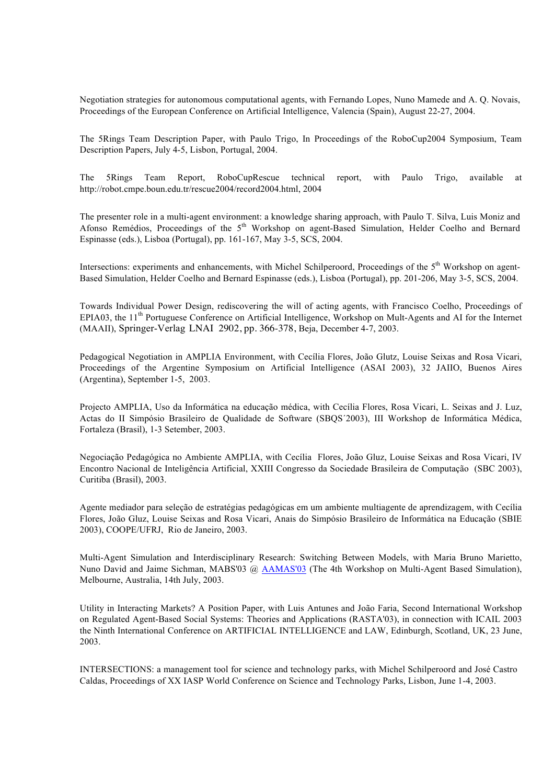Negotiation strategies for autonomous computational agents, with Fernando Lopes, Nuno Mamede and A. Q. Novais, Proceedings of the European Conference on Artificial Intelligence, Valencia (Spain), August 22-27, 2004.

The 5Rings Team Description Paper, with Paulo Trigo, In Proceedings of the RoboCup2004 Symposium, Team Description Papers, July 4-5, Lisbon, Portugal, 2004.

The 5Rings Team Report, RoboCupRescue technical report, with Paulo Trigo, available at http://robot.cmpe.boun.edu.tr/rescue2004/record2004.html, 2004

The presenter role in a multi-agent environment: a knowledge sharing approach, with Paulo T. Silva, Luis Moniz and Afonso Remédios, Proceedings of the 5<sup>th</sup> Workshop on agent-Based Simulation, Helder Coelho and Bernard Espinasse (eds.), Lisboa (Portugal), pp. 161-167, May 3-5, SCS, 2004.

Intersections: experiments and enhancements, with Michel Schilperoord, Proceedings of the 5<sup>th</sup> Workshop on agent-Based Simulation, Helder Coelho and Bernard Espinasse (eds.), Lisboa (Portugal), pp. 201-206, May 3-5, SCS, 2004.

Towards Individual Power Design, rediscovering the will of acting agents, with Francisco Coelho, Proceedings of EPIA03, the 11<sup>th</sup> Portuguese Conference on Artificial Intelligence, Workshop on Mult-Agents and AI for the Internet (MAAII), Springer-Verlag LNAI 2902, pp. 366-378, Beja, December 4-7, 2003.

Pedagogical Negotiation in AMPLIA Environment, with Cecília Flores, João Glutz, Louise Seixas and Rosa Vicari, Proceedings of the Argentine Symposium on Artificial Intelligence (ASAI 2003), 32 JAIIO, Buenos Aires (Argentina), September 1-5, 2003.

Projecto AMPLIA, Uso da Informática na educação médica, with Cecília Flores, Rosa Vicari, L. Seixas and J. Luz, Actas do II Simpósio Brasileiro de Qualidade de Software (SBQS´2003), III Workshop de Informática Médica, Fortaleza (Brasil), 1-3 Setember, 2003.

Negociação Pedagógica no Ambiente AMPLIA, with Cecília Flores, João Gluz, Louise Seixas and Rosa Vicari, IV Encontro Nacional de Inteligência Artificial, XXIII Congresso da Sociedade Brasileira de Computação (SBC 2003), Curitiba (Brasil), 2003.

Agente mediador para seleção de estratégias pedagógicas em um ambiente multiagente de aprendizagem, with Cecília Flores, João Gluz, Louise Seixas and Rosa Vicari, Anais do Simpósio Brasileiro de Informática na Educação (SBIE 2003), COOPE/UFRJ, Rio de Janeiro, 2003.

Multi-Agent Simulation and Interdisciplinary Research: Switching Between Models, with Maria Bruno Marietto, Nuno David and Jaime Sichman, MABS'03 @ AAMAS'03 (The 4th Workshop on Multi-Agent Based Simulation), Melbourne, Australia, 14th July, 2003.

Utility in Interacting Markets? A Position Paper, with Luis Antunes and João Faria, Second International Workshop on Regulated Agent-Based Social Systems: Theories and Applications (RASTA'03), in connection with ICAIL 2003 the Ninth International Conference on ARTIFICIAL INTELLIGENCE and LAW, Edinburgh, Scotland, UK, 23 June, 2003.

INTERSECTIONS: a management tool for science and technology parks, with Michel Schilperoord and José Castro Caldas, Proceedings of XX IASP World Conference on Science and Technology Parks, Lisbon, June 1-4, 2003.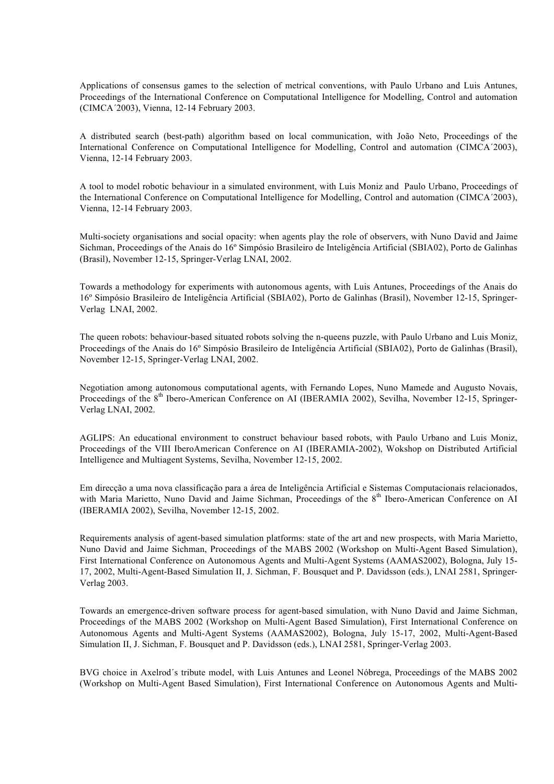Applications of consensus games to the selection of metrical conventions, with Paulo Urbano and Luis Antunes, Proceedings of the International Conference on Computational Intelligence for Modelling, Control and automation (CIMCA´2003), Vienna, 12-14 February 2003.

A distributed search (best-path) algorithm based on local communication, with João Neto, Proceedings of the International Conference on Computational Intelligence for Modelling, Control and automation (CIMCA´2003), Vienna, 12-14 February 2003.

A tool to model robotic behaviour in a simulated environment, with Luis Moniz and Paulo Urbano, Proceedings of the International Conference on Computational Intelligence for Modelling, Control and automation (CIMCA´2003), Vienna, 12-14 February 2003.

Multi-society organisations and social opacity: when agents play the role of observers, with Nuno David and Jaime Sichman, Proceedings of the Anais do 16º Simpósio Brasileiro de Inteligência Artificial (SBIA02), Porto de Galinhas (Brasil), November 12-15, Springer-Verlag LNAI, 2002.

Towards a methodology for experiments with autonomous agents, with Luis Antunes, Proceedings of the Anais do 16º Simpósio Brasileiro de Inteligência Artificial (SBIA02), Porto de Galinhas (Brasil), November 12-15, Springer-Verlag LNAI, 2002.

The queen robots: behaviour-based situated robots solving the n-queens puzzle, with Paulo Urbano and Luis Moniz, Proceedings of the Anais do 16º Simpósio Brasileiro de Inteligência Artificial (SBIA02), Porto de Galinhas (Brasil), November 12-15, Springer-Verlag LNAI, 2002.

Negotiation among autonomous computational agents, with Fernando Lopes, Nuno Mamede and Augusto Novais, Proceedings of the 8<sup>th</sup> Ibero-American Conference on AI (IBERAMIA 2002), Sevilha, November 12-15, Springer-Verlag LNAI, 2002.

AGLIPS: An educational environment to construct behaviour based robots, with Paulo Urbano and Luis Moniz, Proceedings of the VIII IberoAmerican Conference on AI (IBERAMIA-2002), Wokshop on Distributed Artificial Intelligence and Multiagent Systems, Sevilha, November 12-15, 2002.

Em direcção a uma nova classificação para a área de Inteligência Artificial e Sistemas Computacionais relacionados, with Maria Marietto, Nuno David and Jaime Sichman, Proceedings of the 8<sup>th</sup> Ibero-American Conference on AI (IBERAMIA 2002), Sevilha, November 12-15, 2002.

Requirements analysis of agent-based simulation platforms: state of the art and new prospects, with Maria Marietto, Nuno David and Jaime Sichman, Proceedings of the MABS 2002 (Workshop on Multi-Agent Based Simulation), First International Conference on Autonomous Agents and Multi-Agent Systems (AAMAS2002), Bologna, July 15- 17, 2002, Multi-Agent-Based Simulation II, J. Sichman, F. Bousquet and P. Davidsson (eds.), LNAI 2581, Springer-Verlag 2003.

Towards an emergence-driven software process for agent-based simulation, with Nuno David and Jaime Sichman, Proceedings of the MABS 2002 (Workshop on Multi-Agent Based Simulation), First International Conference on Autonomous Agents and Multi-Agent Systems (AAMAS2002), Bologna, July 15-17, 2002, Multi-Agent-Based Simulation II, J. Sichman, F. Bousquet and P. Davidsson (eds.), LNAI 2581, Springer-Verlag 2003.

BVG choice in Axelrod´s tribute model, with Luis Antunes and Leonel Nóbrega, Proceedings of the MABS 2002 (Workshop on Multi-Agent Based Simulation), First International Conference on Autonomous Agents and Multi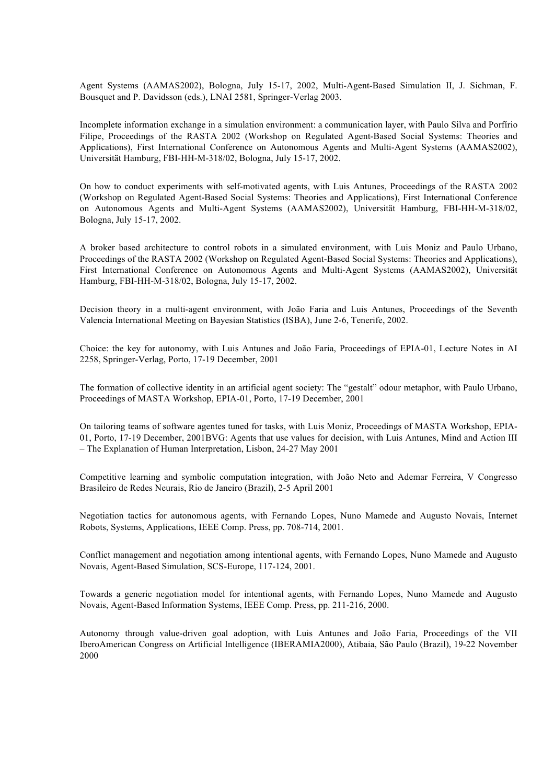Agent Systems (AAMAS2002), Bologna, July 15-17, 2002, Multi-Agent-Based Simulation II, J. Sichman, F. Bousquet and P. Davidsson (eds.), LNAI 2581, Springer-Verlag 2003.

Incomplete information exchange in a simulation environment: a communication layer, with Paulo Silva and Porfírio Filipe, Proceedings of the RASTA 2002 (Workshop on Regulated Agent-Based Social Systems: Theories and Applications), First International Conference on Autonomous Agents and Multi-Agent Systems (AAMAS2002), Universität Hamburg, FBI-HH-M-318/02, Bologna, July 15-17, 2002.

On how to conduct experiments with self-motivated agents, with Luis Antunes, Proceedings of the RASTA 2002 (Workshop on Regulated Agent-Based Social Systems: Theories and Applications), First International Conference on Autonomous Agents and Multi-Agent Systems (AAMAS2002), Universität Hamburg, FBI-HH-M-318/02, Bologna, July 15-17, 2002.

A broker based architecture to control robots in a simulated environment, with Luis Moniz and Paulo Urbano, Proceedings of the RASTA 2002 (Workshop on Regulated Agent-Based Social Systems: Theories and Applications), First International Conference on Autonomous Agents and Multi-Agent Systems (AAMAS2002), Universität Hamburg, FBI-HH-M-318/02, Bologna, July 15-17, 2002.

Decision theory in a multi-agent environment, with João Faria and Luis Antunes, Proceedings of the Seventh Valencia International Meeting on Bayesian Statistics (ISBA), June 2-6, Tenerife, 2002.

Choice: the key for autonomy, with Luis Antunes and João Faria, Proceedings of EPIA-01, Lecture Notes in AI 2258, Springer-Verlag, Porto, 17-19 December, 2001

The formation of collective identity in an artificial agent society: The "gestalt" odour metaphor, with Paulo Urbano, Proceedings of MASTA Workshop, EPIA-01, Porto, 17-19 December, 2001

On tailoring teams of software agentes tuned for tasks, with Luis Moniz, Proceedings of MASTA Workshop, EPIA-01, Porto, 17-19 December, 2001BVG: Agents that use values for decision, with Luis Antunes, Mind and Action III – The Explanation of Human Interpretation, Lisbon, 24-27 May 2001

Competitive learning and symbolic computation integration, with João Neto and Ademar Ferreira, V Congresso Brasileiro de Redes Neurais, Rio de Janeiro (Brazil), 2-5 April 2001

Negotiation tactics for autonomous agents, with Fernando Lopes, Nuno Mamede and Augusto Novais, Internet Robots, Systems, Applications, IEEE Comp. Press, pp. 708-714, 2001.

Conflict management and negotiation among intentional agents, with Fernando Lopes, Nuno Mamede and Augusto Novais, Agent-Based Simulation, SCS-Europe, 117-124, 2001.

Towards a generic negotiation model for intentional agents, with Fernando Lopes, Nuno Mamede and Augusto Novais, Agent-Based Information Systems, IEEE Comp. Press, pp. 211-216, 2000.

Autonomy through value-driven goal adoption, with Luis Antunes and João Faria, Proceedings of the VII IberoAmerican Congress on Artificial Intelligence (IBERAMIA2000), Atibaia, São Paulo (Brazil), 19-22 November 2000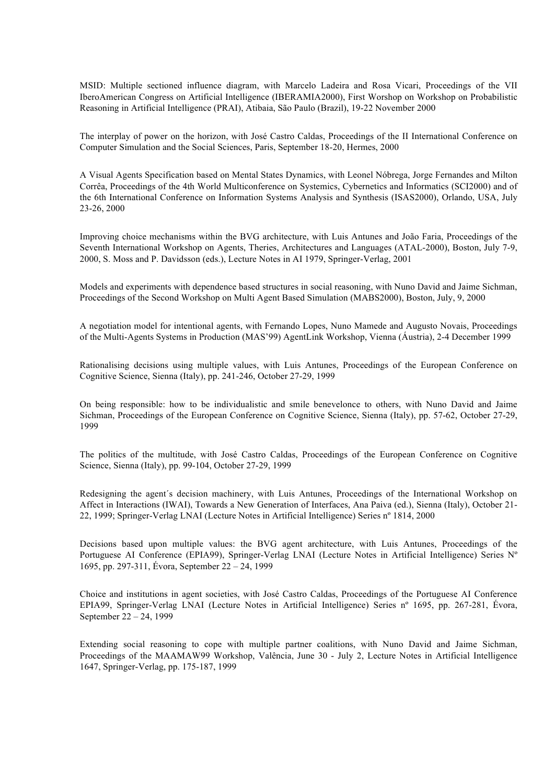MSID: Multiple sectioned influence diagram, with Marcelo Ladeira and Rosa Vicari, Proceedings of the VII IberoAmerican Congress on Artificial Intelligence (IBERAMIA2000), First Worshop on Workshop on Probabilistic Reasoning in Artificial Intelligence (PRAI), Atibaia, São Paulo (Brazil), 19-22 November 2000

The interplay of power on the horizon, with José Castro Caldas, Proceedings of the II International Conference on Computer Simulation and the Social Sciences, Paris, September 18-20, Hermes, 2000

A Visual Agents Specification based on Mental States Dynamics, with Leonel Nóbrega, Jorge Fernandes and Milton Corrêa, Proceedings of the 4th World Multiconference on Systemics, Cybernetics and Informatics (SCI2000) and of the 6th International Conference on Information Systems Analysis and Synthesis (ISAS2000), Orlando, USA, July 23-26, 2000

Improving choice mechanisms within the BVG architecture, with Luis Antunes and João Faria, Proceedings of the Seventh International Workshop on Agents, Theries, Architectures and Languages (ATAL-2000), Boston, July 7-9, 2000, S. Moss and P. Davidsson (eds.), Lecture Notes in AI 1979, Springer-Verlag, 2001

Models and experiments with dependence based structures in social reasoning, with Nuno David and Jaime Sichman, Proceedings of the Second Workshop on Multi Agent Based Simulation (MABS2000), Boston, July, 9, 2000

A negotiation model for intentional agents, with Fernando Lopes, Nuno Mamede and Augusto Novais, Proceedings of the Multi-Agents Systems in Production (MAS'99) AgentLink Workshop, Vienna (Áustria), 2-4 December 1999

Rationalising decisions using multiple values, with Luis Antunes, Proceedings of the European Conference on Cognitive Science, Sienna (Italy), pp. 241-246, October 27-29, 1999

On being responsible: how to be individualistic and smile benevelonce to others, with Nuno David and Jaime Sichman, Proceedings of the European Conference on Cognitive Science, Sienna (Italy), pp. 57-62, October 27-29, 1999

The politics of the multitude, with José Castro Caldas, Proceedings of the European Conference on Cognitive Science, Sienna (Italy), pp. 99-104, October 27-29, 1999

Redesigning the agent´s decision machinery, with Luis Antunes, Proceedings of the International Workshop on Affect in Interactions (IWAI), Towards a New Generation of Interfaces, Ana Paiva (ed.), Sienna (Italy), October 21- 22, 1999; Springer-Verlag LNAI (Lecture Notes in Artificial Intelligence) Series nº 1814, 2000

Decisions based upon multiple values: the BVG agent architecture, with Luis Antunes, Proceedings of the Portuguese AI Conference (EPIA99), Springer-Verlag LNAI (Lecture Notes in Artificial Intelligence) Series Nº 1695, pp. 297-311, Évora, September 22 – 24, 1999

Choice and institutions in agent societies, with José Castro Caldas, Proceedings of the Portuguese AI Conference EPIA99, Springer-Verlag LNAI (Lecture Notes in Artificial Intelligence) Series nº 1695, pp. 267-281, Évora, September 22 – 24, 1999

Extending social reasoning to cope with multiple partner coalitions, with Nuno David and Jaime Sichman, Proceedings of the MAAMAW99 Workshop, Valência, June 30 - July 2, Lecture Notes in Artificial Intelligence 1647, Springer-Verlag, pp. 175-187, 1999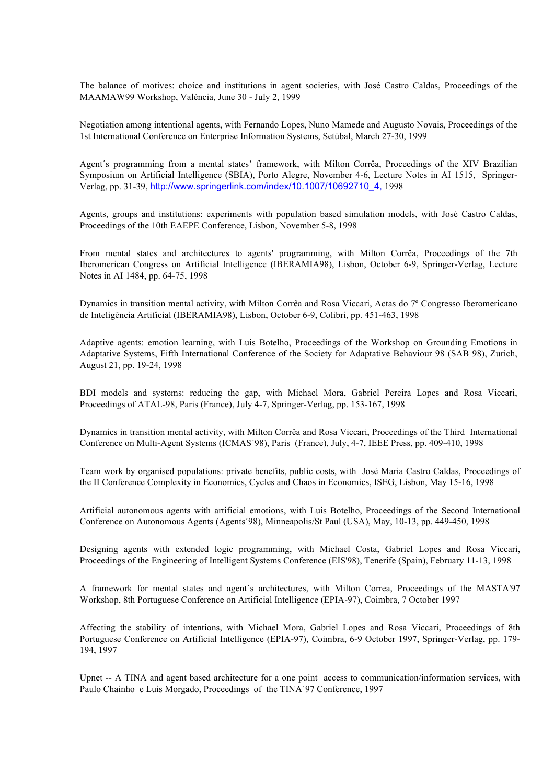The balance of motives: choice and institutions in agent societies, with José Castro Caldas, Proceedings of the MAAMAW99 Workshop, Valência, June 30 - July 2, 1999

Negotiation among intentional agents, with Fernando Lopes, Nuno Mamede and Augusto Novais, Proceedings of the 1st International Conference on Enterprise Information Systems, Setúbal, March 27-30, 1999

Agent´s programming from a mental states' framework, with Milton Corrêa, Proceedings of the XIV Brazilian Symposium on Artificial Intelligence (SBIA), Porto Alegre, November 4-6, Lecture Notes in AI 1515, Springer-Verlag, pp. 31-39, http://www.springerlink.com/index/10.1007/10692710\_4, 1998

Agents, groups and institutions: experiments with population based simulation models, with José Castro Caldas, Proceedings of the 10th EAEPE Conference, Lisbon, November 5-8, 1998

From mental states and architectures to agents' programming, with Milton Corrêa, Proceedings of the 7th Iberomerican Congress on Artificial Intelligence (IBERAMIA98), Lisbon, October 6-9, Springer-Verlag, Lecture Notes in AI 1484, pp. 64-75, 1998

Dynamics in transition mental activity, with Milton Corrêa and Rosa Viccari, Actas do 7º Congresso Iberomericano de Inteligência Artificial (IBERAMIA98), Lisbon, October 6-9, Colibri, pp. 451-463, 1998

Adaptive agents: emotion learning, with Luis Botelho, Proceedings of the Workshop on Grounding Emotions in Adaptative Systems, Fifth International Conference of the Society for Adaptative Behaviour 98 (SAB 98), Zurich, August 21, pp. 19-24, 1998

BDI models and systems: reducing the gap, with Michael Mora, Gabriel Pereira Lopes and Rosa Viccari, Proceedings of ATAL-98, Paris (France), July 4-7, Springer-Verlag, pp. 153-167, 1998

Dynamics in transition mental activity, with Milton Corrêa and Rosa Viccari, Proceedings of the Third International Conference on Multi-Agent Systems (ICMAS´98), Paris (France), July, 4-7, IEEE Press, pp. 409-410, 1998

Team work by organised populations: private benefits, public costs, with José Maria Castro Caldas, Proceedings of the II Conference Complexity in Economics, Cycles and Chaos in Economics, ISEG, Lisbon, May 15-16, 1998

Artificial autonomous agents with artificial emotions, with Luis Botelho, Proceedings of the Second International Conference on Autonomous Agents (Agents´98), Minneapolis/St Paul (USA), May, 10-13, pp. 449-450, 1998

Designing agents with extended logic programming, with Michael Costa, Gabriel Lopes and Rosa Viccari, Proceedings of the Engineering of Intelligent Systems Conference (EIS'98), Tenerife (Spain), February 11-13, 1998

A framework for mental states and agent´s architectures, with Milton Correa, Proceedings of the MASTA'97 Workshop, 8th Portuguese Conference on Artificial Intelligence (EPIA-97), Coimbra, 7 October 1997

Affecting the stability of intentions, with Michael Mora, Gabriel Lopes and Rosa Viccari, Proceedings of 8th Portuguese Conference on Artificial Intelligence (EPIA-97), Coimbra, 6-9 October 1997, Springer-Verlag, pp. 179- 194, 1997

Upnet -- A TINA and agent based architecture for a one point access to communication/information services, with Paulo Chainho e Luis Morgado, Proceedings of the TINA´97 Conference, 1997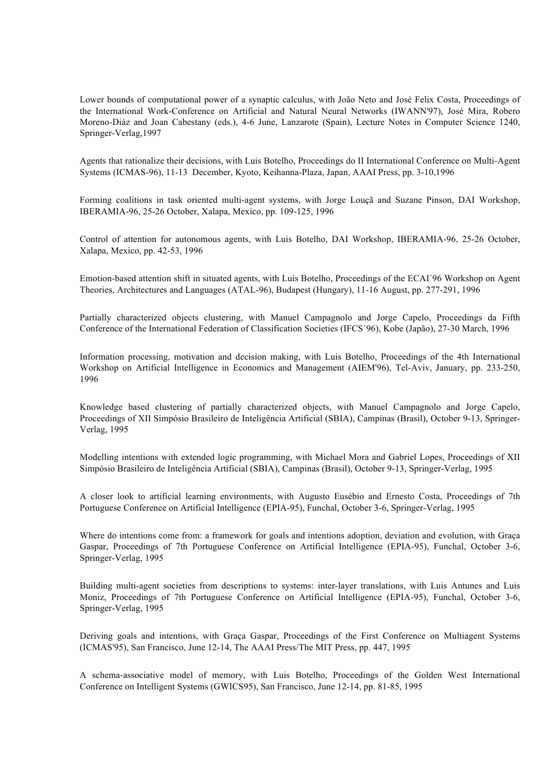Lower bounds of computational power of a synaptic calculus, with João Neto and José Felix Costa, Proceedings of the International Work-Conference on Artificial and Natural Neural Networks (IWANN'97), José Mira, Robero Moreno-Diáz and Joan Cabestany (eds.), 4-6 June, Lanzarote (Spain), Lecture Notes in Computer Science 1240, Springer-Verlag,1997

Agents that rationalize their decisions, with Luis Botelho, Proceedings do II International Conference on Multi-Agent Systems (ICMAS-96), 11-13 December, Kyoto, Keihanna-Plaza, Japan, AAAI Press, pp. 3-10,1996

Forming coalitions in task oriented multi-agent systems, with Jorge Louçã and Suzane Pinson, DAI Workshop, IBERAMIA-96, 25-26 October, Xalapa, Mexico, pp. 109-125, 1996

Control of attention for autonomous agents, with Luis Botelho, DAI Workshop, IBERAMIA-96, 25-26 October, Xalapa, Mexico, pp. 42-53, 1996

Emotion-based attention shift in situated agents, with Luis Botelho, Proceedings of the ECAI´96 Workshop on Agent Theories, Architectures and Languages (ATAL-96), Budapest (Hungary), 11-16 August, pp. 277-291, 1996

Partially characterized objects clustering, with Manuel Campagnolo and Jorge Capelo, Proceedings da Fifth Conference of the International Federation of Classification Societies (IFCS´96), Kobe (Japão), 27-30 March, 1996

Information processing, motivation and decision making, with Luis Botelho, Proceedings of the 4th International Workshop on Artificial Intelligence in Economics and Management (AIEM'96), Tel-Aviv, January, pp. 233-250, 1996

Knowledge based clustering of partially characterized objects, with Manuel Campagnolo and Jorge Capelo, Proceedings of XII Simpósio Brasileiro de Inteligência Artificial (SBIA), Campinas (Brasil), October 9-13, Springer-Verlag, 1995

Modelling intentions with extended logic programming, with Michael Mora and Gabriel Lopes, Proceedings of XII Simpósio Brasileiro de Inteligência Artificial (SBIA), Campinas (Brasil), October 9-13, Springer-Verlag, 1995

A closer look to artificial learning environments, with Augusto Eusébio and Ernesto Costa, Proceedings of 7th Portuguese Conference on Artificial Intelligence (EPIA-95), Funchal, October 3-6, Springer-Verlag, 1995

Where do intentions come from: a framework for goals and intentions adoption, deviation and evolution, with Graça Gaspar, Proceedings of 7th Portuguese Conference on Artificial Intelligence (EPIA-95), Funchal, October 3-6, Springer-Verlag, 1995

Building multi-agent societies from descriptions to systems: inter-layer translations, with Luis Antunes and Luis Moniz, Proceedings of 7th Portuguese Conference on Artificial Intelligence (EPIA-95), Funchal, October 3-6, Springer-Verlag, 1995

Deriving goals and intentions, with Graça Gaspar, Proceedings of the First Conference on Multiagent Systems (ICMAS'95), San Francisco, June 12-14, The AAAI Press/The MIT Press, pp. 447, 1995

A schema-associative model of memory, with Luis Botelho, Proceedings of the Golden West International Conference on Intelligent Systems (GWICS95), San Francisco, June 12-14, pp. 81-85, 1995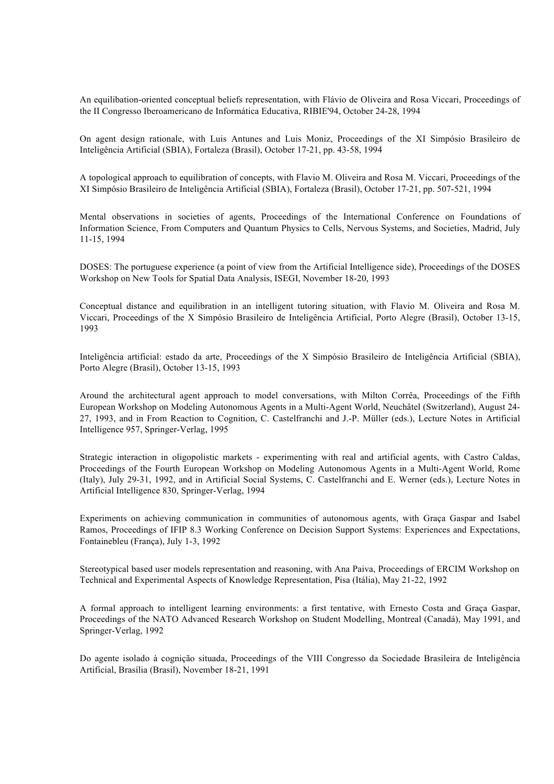An equilibation-oriented conceptual beliefs representation, with Flávio de Oliveira and Rosa Viccari, Proceedings of the II Congresso Iberoamericano de Informática Educativa, RIBIE'94, October 24-28, 1994

On agent design rationale, with Luis Antunes and Luis Moniz, Proceedings of the XI Simpósio Brasileiro de Inteligência Artificial (SBIA), Fortaleza (Brasil), October 17-21, pp. 43-58, 1994

A topological approach to equilibration of concepts, with Flavio M. Oliveira and Rosa M. Viccari, Proceedings of the XI Simpósio Brasileiro de Inteligência Artificial (SBIA), Fortaleza (Brasil), October 17-21, pp. 507-521, 1994

Mental observations in societies of agents, Proceedings of the International Conference on Foundations of Information Science, From Computers and Quantum Physics to Cells, Nervous Systems, and Societies, Madrid, July 11-15, 1994

DOSES: The portuguese experience (a point of view from the Artificial Intelligence side), Proceedings of the DOSES Workshop on New Tools for Spatial Data Analysis, ISEGI, November 18-20, 1993

Conceptual distance and equilibration in an intelligent tutoring situation, with Flavio M. Oliveira and Rosa M. Viccari, Proceedings of the X Simpósio Brasileiro de Inteligência Artificial, Porto Alegre (Brasil), October 13-15, 1993

Inteligência artificial: estado da arte, Proceedings of the X Simpósio Brasileiro de Inteligência Artificial (SBIA), Porto Alegre (Brasil), October 13-15, 1993

Around the architectural agent approach to model conversations, with Milton Corrêa, Proceedings of the Fifth European Workshop on Modeling Autonomous Agents in a Multi-Agent World, Neuchâtel (Switzerland), August 24- 27, 1993, and in From Reaction to Cognition, C. Castelfranchi and J.-P. Müller (eds.), Lecture Notes in Artificial Intelligence 957, Springer-Verlag, 1995

Strategic interaction in oligopolistic markets - experimenting with real and artificial agents, with Castro Caldas, Proceedings of the Fourth European Workshop on Modeling Autonomous Agents in a Multi-Agent World, Rome (Italy), July 29-31, 1992, and in Artificial Social Systems, C. Castelfranchi and E. Werner (eds.), Lecture Notes in Artificial Intelligence 830, Springer-Verlag, 1994

Experiments on achieving communication in communities of autonomous agents, with Graça Gaspar and Isabel Ramos, Proceedings of IFIP 8.3 Working Conference on Decision Support Systems: Experiences and Expectations, Fontainebleu (França), July 1-3, 1992

Stereotypical based user models representation and reasoning, with Ana Paiva, Proceedings of ERCIM Workshop on Technical and Experimental Aspects of Knowledge Representation, Pisa (Itália), May 21-22, 1992

A formal approach to intelligent learning environments: a first tentative, with Ernesto Costa and Graça Gaspar, Proceedings of the NATO Advanced Research Workshop on Student Modelling, Montreal (Canadá), May 1991, and Springer-Verlag, 1992

Do agente isolado à cognição situada, Proceedings of the VIII Congresso da Sociedade Brasileira de Inteligência Artificial, Brasília (Brasil), November 18-21, 1991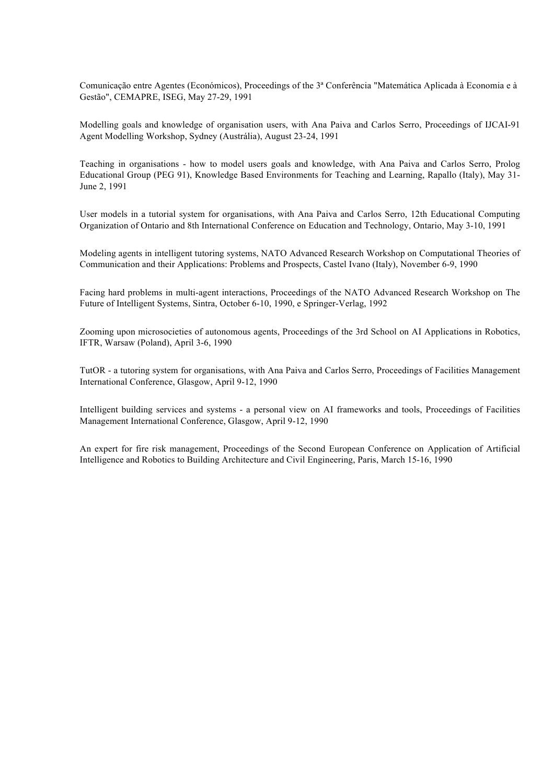Comunicação entre Agentes (Económicos), Proceedings of the 3ª Conferência "Matemática Aplicada à Economia e à Gestão", CEMAPRE, ISEG, May 27-29, 1991

Modelling goals and knowledge of organisation users, with Ana Paiva and Carlos Serro, Proceedings of IJCAI-91 Agent Modelling Workshop, Sydney (Austrália), August 23-24, 1991

Teaching in organisations - how to model users goals and knowledge, with Ana Paiva and Carlos Serro, Prolog Educational Group (PEG 91), Knowledge Based Environments for Teaching and Learning, Rapallo (Italy), May 31- June 2, 1991

User models in a tutorial system for organisations, with Ana Paiva and Carlos Serro, 12th Educational Computing Organization of Ontario and 8th International Conference on Education and Technology, Ontario, May 3-10, 1991

Modeling agents in intelligent tutoring systems, NATO Advanced Research Workshop on Computational Theories of Communication and their Applications: Problems and Prospects, Castel Ivano (Italy), November 6-9, 1990

Facing hard problems in multi-agent interactions, Proceedings of the NATO Advanced Research Workshop on The Future of Intelligent Systems, Sintra, October 6-10, 1990, e Springer-Verlag, 1992

Zooming upon microsocieties of autonomous agents, Proceedings of the 3rd School on AI Applications in Robotics, IFTR, Warsaw (Poland), April 3-6, 1990

TutOR - a tutoring system for organisations, with Ana Paiva and Carlos Serro, Proceedings of Facilities Management International Conference, Glasgow, April 9-12, 1990

Intelligent building services and systems - a personal view on AI frameworks and tools, Proceedings of Facilities Management International Conference, Glasgow, April 9-12, 1990

An expert for fire risk management, Proceedings of the Second European Conference on Application of Artificial Intelligence and Robotics to Building Architecture and Civil Engineering, Paris, March 15-16, 1990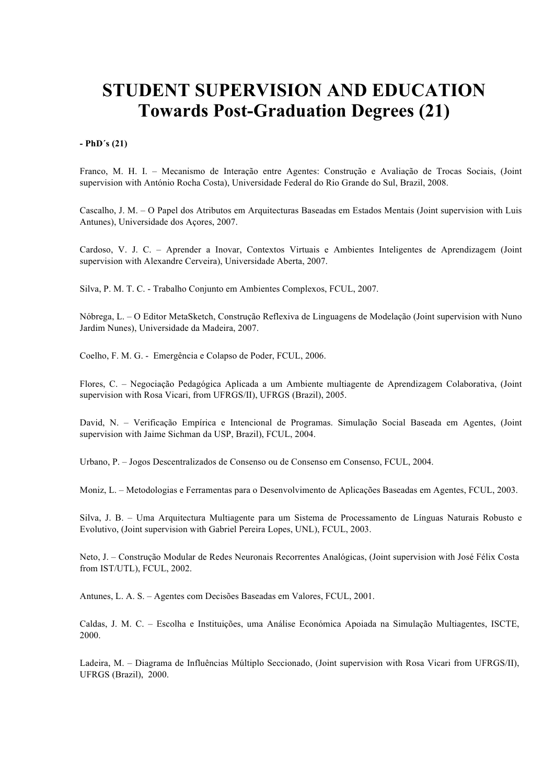# **STUDENT SUPERVISION AND EDUCATION Towards Post-Graduation Degrees (21)**

#### **- PhD´s (21)**

Franco, M. H. I. – Mecanismo de Interação entre Agentes: Construção e Avaliação de Trocas Sociais, (Joint supervision with António Rocha Costa), Universidade Federal do Rio Grande do Sul, Brazil, 2008.

Cascalho, J. M. – O Papel dos Atributos em Arquitecturas Baseadas em Estados Mentais (Joint supervision with Luis Antunes), Universidade dos Açores, 2007.

Cardoso, V. J. C. – Aprender a Inovar, Contextos Virtuais e Ambientes Inteligentes de Aprendizagem (Joint supervision with Alexandre Cerveira), Universidade Aberta, 2007.

Silva, P. M. T. C. - Trabalho Conjunto em Ambientes Complexos, FCUL, 2007.

Nóbrega, L. – O Editor MetaSketch, Construção Reflexiva de Linguagens de Modelação (Joint supervision with Nuno Jardim Nunes), Universidade da Madeira, 2007.

Coelho, F. M. G. - Emergência e Colapso de Poder, FCUL, 2006.

Flores, C. – Negociação Pedagógica Aplicada a um Ambiente multiagente de Aprendizagem Colaborativa, (Joint supervision with Rosa Vicari, from UFRGS/II), UFRGS (Brazil), 2005.

David, N. – Verificação Empírica e Intencional de Programas. Simulação Social Baseada em Agentes, (Joint supervision with Jaime Sichman da USP, Brazil), FCUL, 2004.

Urbano, P. – Jogos Descentralizados de Consenso ou de Consenso em Consenso, FCUL, 2004.

Moniz, L. – Metodologias e Ferramentas para o Desenvolvimento de Aplicações Baseadas em Agentes, FCUL, 2003.

Silva, J. B. – Uma Arquitectura Multiagente para um Sistema de Processamento de Línguas Naturais Robusto e Evolutivo, (Joint supervision with Gabriel Pereira Lopes, UNL), FCUL, 2003.

Neto, J. – Construção Modular de Redes Neuronais Recorrentes Analógicas, (Joint supervision with José Félix Costa from IST/UTL), FCUL, 2002.

Antunes, L. A. S. – Agentes com Decisões Baseadas em Valores, FCUL, 2001.

Caldas, J. M. C. – Escolha e Instituições, uma Análise Económica Apoiada na Simulação Multiagentes, ISCTE, 2000.

Ladeira, M. – Diagrama de Influências Múltiplo Seccionado, (Joint supervision with Rosa Vicari from UFRGS/II), UFRGS (Brazil), 2000.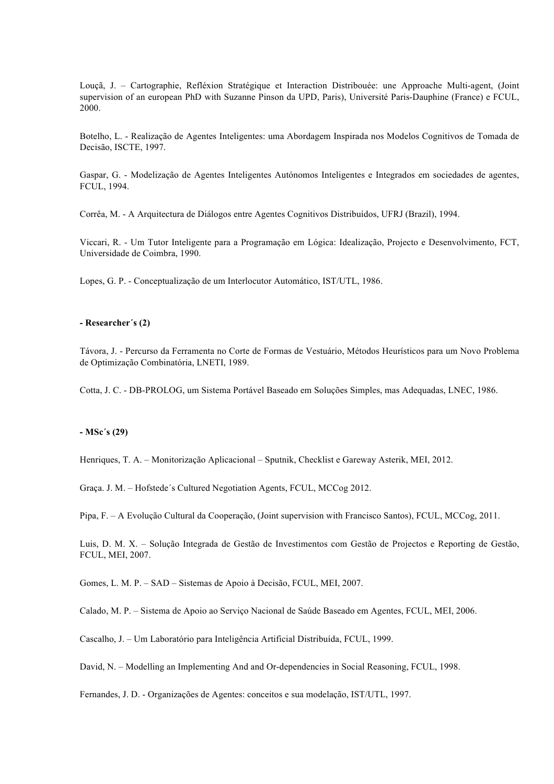Louçã, J. – Cartographie, Refléxion Stratégique et Interaction Distribouée: une Approache Multi-agent, (Joint supervision of an european PhD with Suzanne Pinson da UPD, Paris), Université Paris-Dauphine (France) e FCUL, 2000.

Botelho, L. - Realização de Agentes Inteligentes: uma Abordagem Inspirada nos Modelos Cognitivos de Tomada de Decisão, ISCTE, 1997.

Gaspar, G. - Modelização de Agentes Inteligentes Autónomos Inteligentes e Integrados em sociedades de agentes, FCUL, 1994.

Corrêa, M. - A Arquitectura de Diálogos entre Agentes Cognitivos Distribuídos, UFRJ (Brazil), 1994.

Viccari, R. - Um Tutor Inteligente para a Programação em Lógica: Idealização, Projecto e Desenvolvimento, FCT, Universidade de Coimbra, 1990.

Lopes, G. P. - Conceptualização de um Interlocutor Automático, IST/UTL, 1986.

#### **- Researcher´s (2)**

Távora, J. - Percurso da Ferramenta no Corte de Formas de Vestuário, Métodos Heurísticos para um Novo Problema de Optimização Combinatória, LNETI, 1989.

Cotta, J. C. - DB-PROLOG, um Sistema Portável Baseado em Soluções Simples, mas Adequadas, LNEC, 1986.

#### **- MSc´s (29)**

Henriques, T. A. – Monitorização Aplicacional – Sputnik, Checklist e Gareway Asterik, MEI, 2012.

Graça. J. M. – Hofstede´s Cultured Negotiation Agents, FCUL, MCCog 2012.

Pipa, F. – A Evolução Cultural da Cooperação, (Joint supervision with Francisco Santos), FCUL, MCCog, 2011.

Luis, D. M. X. – Solução Integrada de Gestão de Investimentos com Gestão de Projectos e Reporting de Gestão, FCUL, MEI, 2007.

Gomes, L. M. P. – SAD – Sistemas de Apoio à Decisão, FCUL, MEI, 2007.

Calado, M. P. – Sistema de Apoio ao Serviço Nacional de Saúde Baseado em Agentes, FCUL, MEI, 2006.

Cascalho, J. – Um Laboratório para Inteligência Artificial Distribuída, FCUL, 1999.

David, N. – Modelling an Implementing And and Or-dependencies in Social Reasoning, FCUL, 1998.

Fernandes, J. D. - Organizações de Agentes: conceitos e sua modelação, IST/UTL, 1997.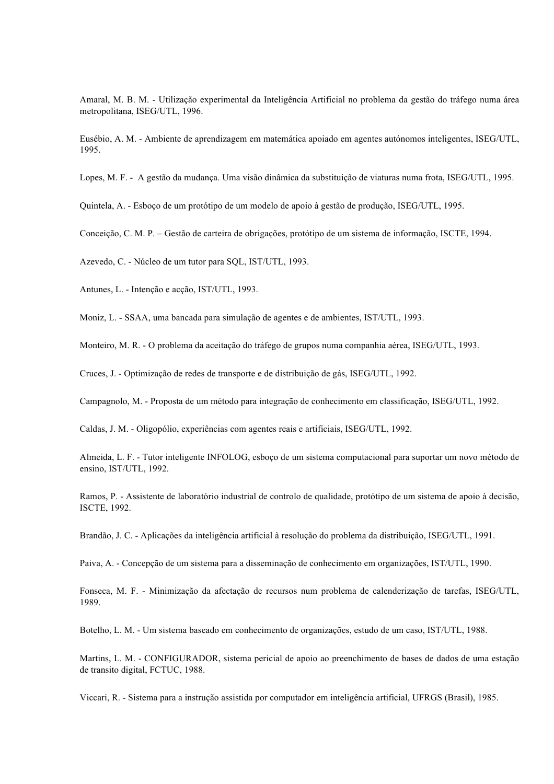Amaral, M. B. M. - Utilização experimental da Inteligência Artificial no problema da gestão do tráfego numa área metropolitana, ISEG/UTL, 1996.

Eusébio, A. M. - Ambiente de aprendizagem em matemática apoiado em agentes autónomos inteligentes, ISEG/UTL, 1995.

Lopes, M. F. - A gestão da mudança. Uma visão dinâmica da substituição de viaturas numa frota, ISEG/UTL, 1995.

Quintela, A. - Esboço de um protótipo de um modelo de apoio à gestão de produção, ISEG/UTL, 1995.

Conceição, C. M. P. – Gestão de carteira de obrigações, protótipo de um sistema de informação, ISCTE, 1994.

Azevedo, C. - Núcleo de um tutor para SQL, IST/UTL, 1993.

Antunes, L. - Intenção e acção, IST/UTL, 1993.

Moniz, L. - SSAA, uma bancada para simulação de agentes e de ambientes, IST/UTL, 1993.

Monteiro, M. R. - O problema da aceitação do tráfego de grupos numa companhia aérea, ISEG/UTL, 1993.

Cruces, J. - Optimização de redes de transporte e de distribuição de gás, ISEG/UTL, 1992.

Campagnolo, M. - Proposta de um método para integração de conhecimento em classificação, ISEG/UTL, 1992.

Caldas, J. M. - Oligopólio, experiências com agentes reais e artificiais, ISEG/UTL, 1992.

Almeida, L. F. - Tutor inteligente INFOLOG, esboço de um sistema computacional para suportar um novo método de ensino, IST/UTL, 1992.

Ramos, P. - Assistente de laboratório industrial de controlo de qualidade, protótipo de um sistema de apoio à decisão, ISCTE, 1992.

Brandão, J. C. - Aplicações da inteligência artificial à resolução do problema da distribuição, ISEG/UTL, 1991.

Paiva, A. - Concepção de um sistema para a disseminação de conhecimento em organizações, IST/UTL, 1990.

Fonseca, M. F. - Minimização da afectação de recursos num problema de calenderização de tarefas, ISEG/UTL, 1989.

Botelho, L. M. - Um sistema baseado em conhecimento de organizações, estudo de um caso, IST/UTL, 1988.

Martins, L. M. - CONFIGURADOR, sistema pericial de apoio ao preenchimento de bases de dados de uma estação de transito digital, FCTUC, 1988.

Viccari, R. - Sistema para a instrução assistida por computador em inteligência artificial, UFRGS (Brasil), 1985.